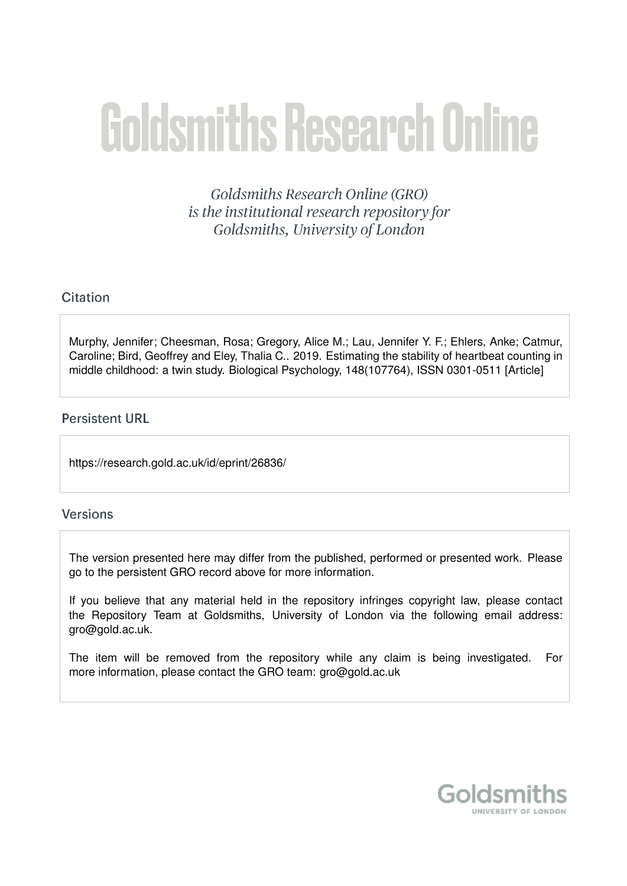# **Goldsmiths Research Online**

Goldsmiths Research Online (GRO) is the institutional research repository for Goldsmiths, University of London

# Citation

Murphy, Jennifer; Cheesman, Rosa; Gregory, Alice M.; Lau, Jennifer Y. F.; Ehlers, Anke; Catmur, Caroline; Bird, Geoffrey and Eley, Thalia C.. 2019. Estimating the stability of heartbeat counting in middle childhood: a twin study. Biological Psychology, 148(107764), ISSN 0301-0511 [Article]

# **Persistent URL**

https://research.gold.ac.uk/id/eprint/26836/

## **Versions**

The version presented here may differ from the published, performed or presented work. Please go to the persistent GRO record above for more information.

If you believe that any material held in the repository infringes copyright law, please contact the Repository Team at Goldsmiths, University of London via the following email address: gro@gold.ac.uk.

The item will be removed from the repository while any claim is being investigated. For more information, please contact the GRO team: gro@gold.ac.uk

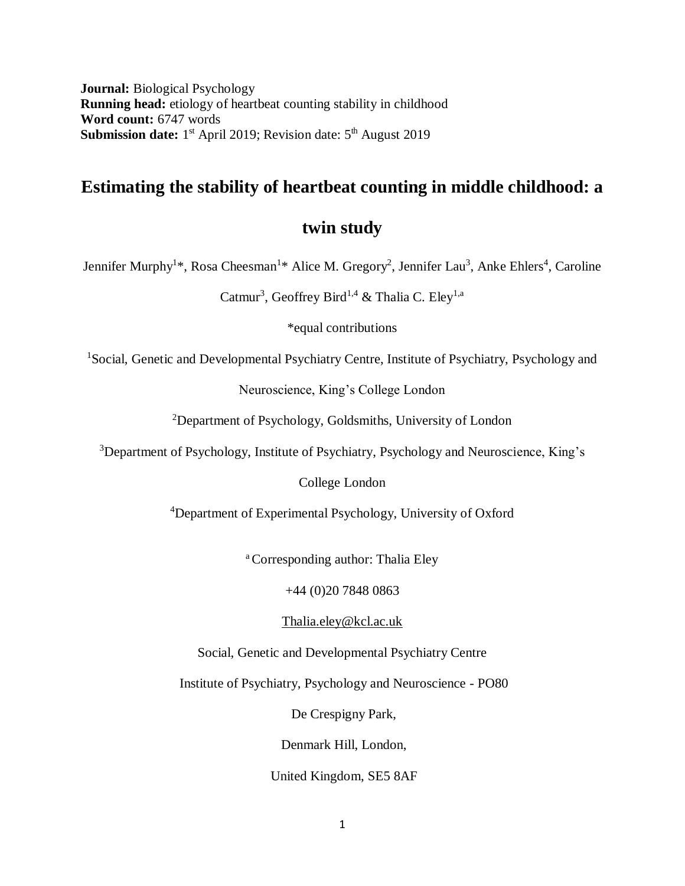**Journal:** Biological Psychology **Running head:** etiology of heartbeat counting stability in childhood **Word count:** 6747 words **Submission date:** 1<sup>st</sup> April 2019; Revision date: 5<sup>th</sup> August 2019

# **Estimating the stability of heartbeat counting in middle childhood: a**

# **twin study**

Jennifer Murphy<sup>1\*</sup>, Rosa Cheesman<sup>1\*</sup> Alice M. Gregory<sup>2</sup>, Jennifer Lau<sup>3</sup>, Anke Ehlers<sup>4</sup>, Caroline

Catmur<sup>3</sup>, Geoffrey Bird<sup>1,4</sup> & Thalia C. Eley<sup>1,a</sup>

\*equal contributions

<sup>1</sup>Social, Genetic and Developmental Psychiatry Centre, Institute of Psychiatry, Psychology and

Neuroscience, King's College London

<sup>2</sup>Department of Psychology, Goldsmiths, University of London

<sup>3</sup>Department of Psychology, Institute of Psychiatry, Psychology and Neuroscience, King's

College London

<sup>4</sup>Department of Experimental Psychology, University of Oxford

<sup>a</sup> Corresponding author: Thalia Eley

+44 (0)20 7848 0863

[Thalia.eley@kcl.ac.uk](mailto:Thalia.eley@kcl.ac.uk)

Social, Genetic and Developmental Psychiatry Centre

Institute of Psychiatry, Psychology and Neuroscience - PO80

De Crespigny Park,

Denmark Hill, London,

United Kingdom, SE5 8AF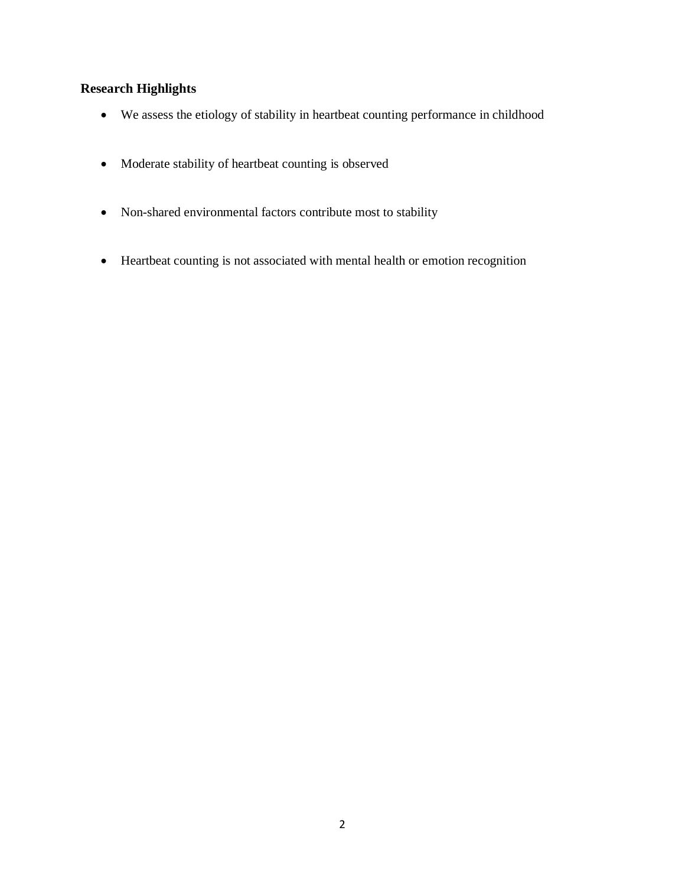# **Research Highlights**

- We assess the etiology of stability in heartbeat counting performance in childhood
- Moderate stability of heartbeat counting is observed
- Non-shared environmental factors contribute most to stability
- Heartbeat counting is not associated with mental health or emotion recognition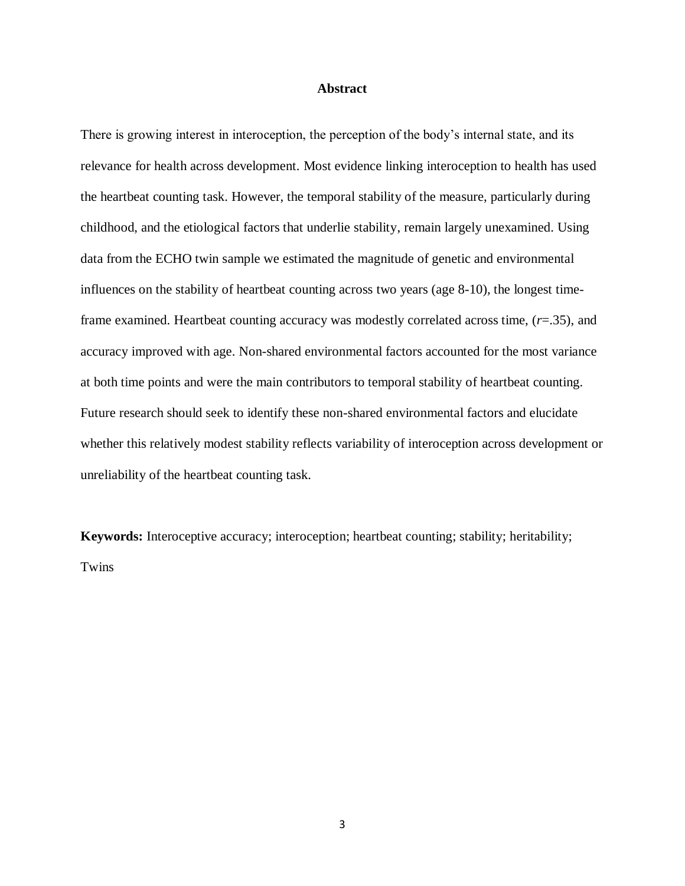#### **Abstract**

There is growing interest in interoception, the perception of the body's internal state, and its relevance for health across development. Most evidence linking interoception to health has used the heartbeat counting task. However, the temporal stability of the measure, particularly during childhood, and the etiological factors that underlie stability, remain largely unexamined. Using data from the ECHO twin sample we estimated the magnitude of genetic and environmental influences on the stability of heartbeat counting across two years (age 8-10), the longest timeframe examined. Heartbeat counting accuracy was modestly correlated across time, (*r*=.35), and accuracy improved with age. Non-shared environmental factors accounted for the most variance at both time points and were the main contributors to temporal stability of heartbeat counting. Future research should seek to identify these non-shared environmental factors and elucidate whether this relatively modest stability reflects variability of interoception across development or unreliability of the heartbeat counting task.

**Keywords:** Interoceptive accuracy; interoception; heartbeat counting; stability; heritability; Twins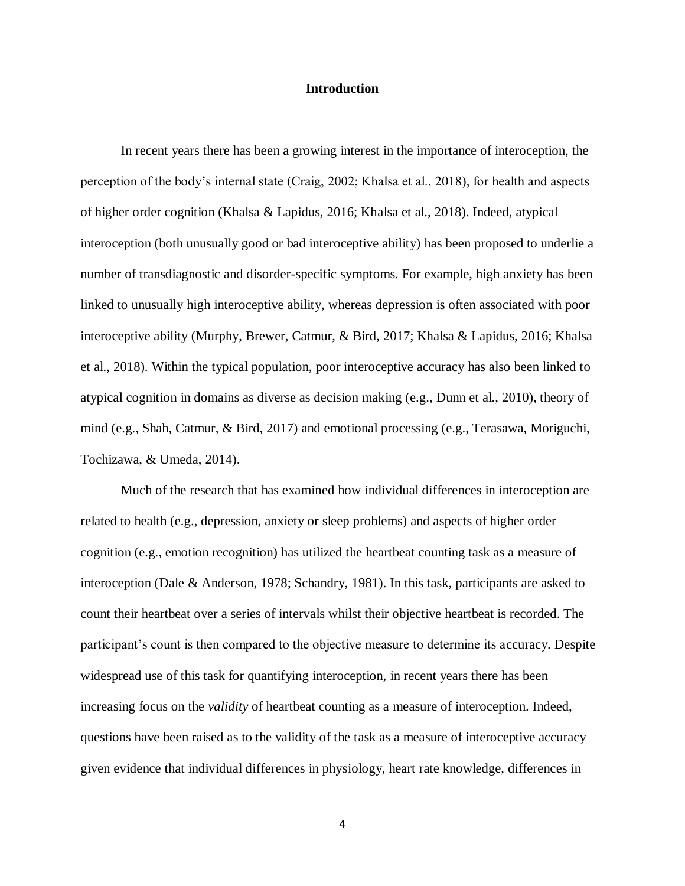#### **Introduction**

In recent years there has been a growing interest in the importance of interoception, the perception of the body's internal state (Craig, 2002; Khalsa et al., 2018), for health and aspects of higher order cognition (Khalsa & Lapidus, 2016; Khalsa et al., 2018). Indeed, atypical interoception (both unusually good or bad interoceptive ability) has been proposed to underlie a number of transdiagnostic and disorder-specific symptoms. For example, high anxiety has been linked to unusually high interoceptive ability, whereas depression is often associated with poor interoceptive ability (Murphy, Brewer, Catmur, & Bird, 2017; Khalsa & Lapidus, 2016; Khalsa et al., 2018). Within the typical population, poor interoceptive accuracy has also been linked to atypical cognition in domains as diverse as decision making (e.g., Dunn et al., 2010), theory of mind (e.g., Shah, Catmur, & Bird, 2017) and emotional processing (e.g., Terasawa, Moriguchi, Tochizawa, & Umeda, 2014).

Much of the research that has examined how individual differences in interoception are related to health (e.g., depression, anxiety or sleep problems) and aspects of higher order cognition (e.g., emotion recognition) has utilized the heartbeat counting task as a measure of interoception (Dale & Anderson, 1978; Schandry, 1981). In this task, participants are asked to count their heartbeat over a series of intervals whilst their objective heartbeat is recorded. The participant's count is then compared to the objective measure to determine its accuracy. Despite widespread use of this task for quantifying interoception, in recent years there has been increasing focus on the *validity* of heartbeat counting as a measure of interoception. Indeed, questions have been raised as to the validity of the task as a measure of interoceptive accuracy given evidence that individual differences in physiology, heart rate knowledge, differences in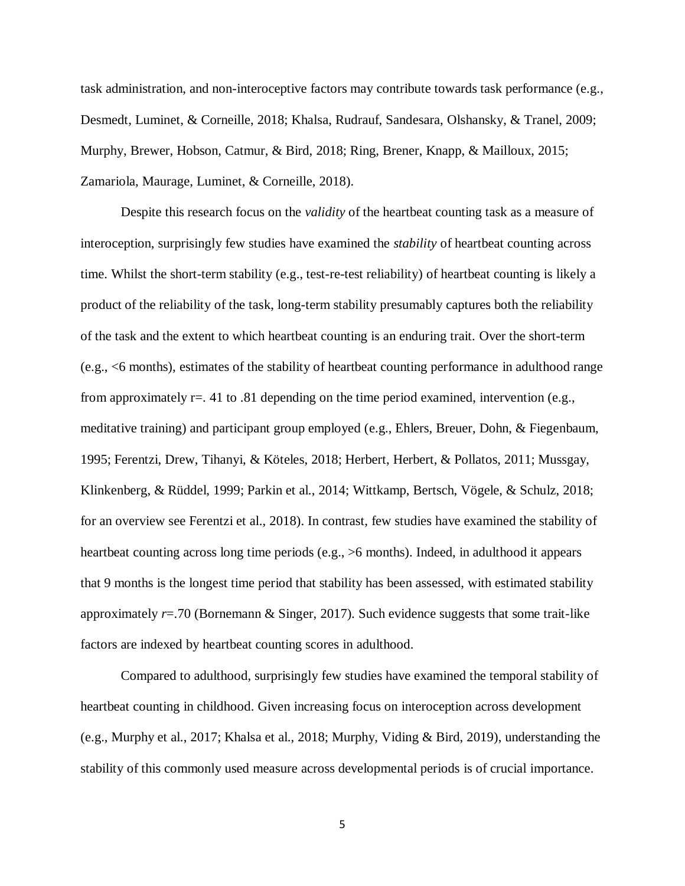task administration, and non-interoceptive factors may contribute towards task performance (e.g., Desmedt, Luminet, & Corneille, 2018; Khalsa, Rudrauf, Sandesara, Olshansky, & Tranel, 2009; Murphy, Brewer, Hobson, Catmur, & Bird, 2018; Ring, Brener, Knapp, & Mailloux, 2015; Zamariola, Maurage, Luminet, & Corneille, 2018).

Despite this research focus on the *validity* of the heartbeat counting task as a measure of interoception, surprisingly few studies have examined the *stability* of heartbeat counting across time. Whilst the short-term stability (e.g., test-re-test reliability) of heartbeat counting is likely a product of the reliability of the task, long-term stability presumably captures both the reliability of the task and the extent to which heartbeat counting is an enduring trait. Over the short-term (e.g., <6 months), estimates of the stability of heartbeat counting performance in adulthood range from approximately r=. 41 to .81 depending on the time period examined, intervention (e.g., meditative training) and participant group employed (e.g., Ehlers, Breuer, Dohn, & Fiegenbaum, 1995; Ferentzi, Drew, Tihanyi, & Köteles, 2018; Herbert, Herbert, & Pollatos, 2011; Mussgay, Klinkenberg, & Rüddel, 1999; Parkin et al., 2014; Wittkamp, Bertsch, Vögele, & Schulz, 2018; for an overview see Ferentzi et al., 2018). In contrast, few studies have examined the stability of heartbeat counting across long time periods (e.g.,  $>6$  months). Indeed, in adulthood it appears that 9 months is the longest time period that stability has been assessed, with estimated stability approximately  $r=0$  (Bornemann & Singer, 2017). Such evidence suggests that some trait-like factors are indexed by heartbeat counting scores in adulthood.

Compared to adulthood, surprisingly few studies have examined the temporal stability of heartbeat counting in childhood. Given increasing focus on interoception across development (e.g., Murphy et al., 2017; Khalsa et al., 2018; Murphy, Viding & Bird, 2019), understanding the stability of this commonly used measure across developmental periods is of crucial importance.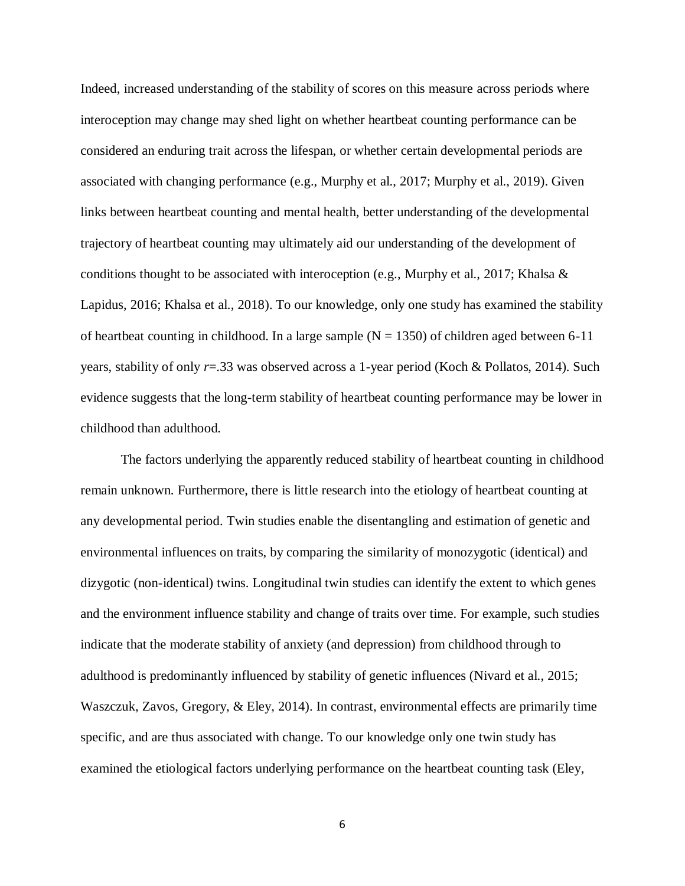Indeed, increased understanding of the stability of scores on this measure across periods where interoception may change may shed light on whether heartbeat counting performance can be considered an enduring trait across the lifespan, or whether certain developmental periods are associated with changing performance (e.g., Murphy et al., 2017; Murphy et al., 2019). Given links between heartbeat counting and mental health, better understanding of the developmental trajectory of heartbeat counting may ultimately aid our understanding of the development of conditions thought to be associated with interoception (e.g., Murphy et al., 2017; Khalsa  $\&$ Lapidus, 2016; Khalsa et al., 2018). To our knowledge, only one study has examined the stability of heartbeat counting in childhood. In a large sample  $(N = 1350)$  of children aged between 6-11 years, stability of only *r*=.33 was observed across a 1-year period (Koch & Pollatos, 2014). Such evidence suggests that the long-term stability of heartbeat counting performance may be lower in childhood than adulthood.

The factors underlying the apparently reduced stability of heartbeat counting in childhood remain unknown. Furthermore, there is little research into the etiology of heartbeat counting at any developmental period. Twin studies enable the disentangling and estimation of genetic and environmental influences on traits, by comparing the similarity of monozygotic (identical) and dizygotic (non-identical) twins. Longitudinal twin studies can identify the extent to which genes and the environment influence stability and change of traits over time. For example, such studies indicate that the moderate stability of anxiety (and depression) from childhood through to adulthood is predominantly influenced by stability of genetic influences (Nivard et al., 2015; Waszczuk, Zavos, Gregory, & Eley, 2014). In contrast, environmental effects are primarily time specific, and are thus associated with change. To our knowledge only one twin study has examined the etiological factors underlying performance on the heartbeat counting task (Eley,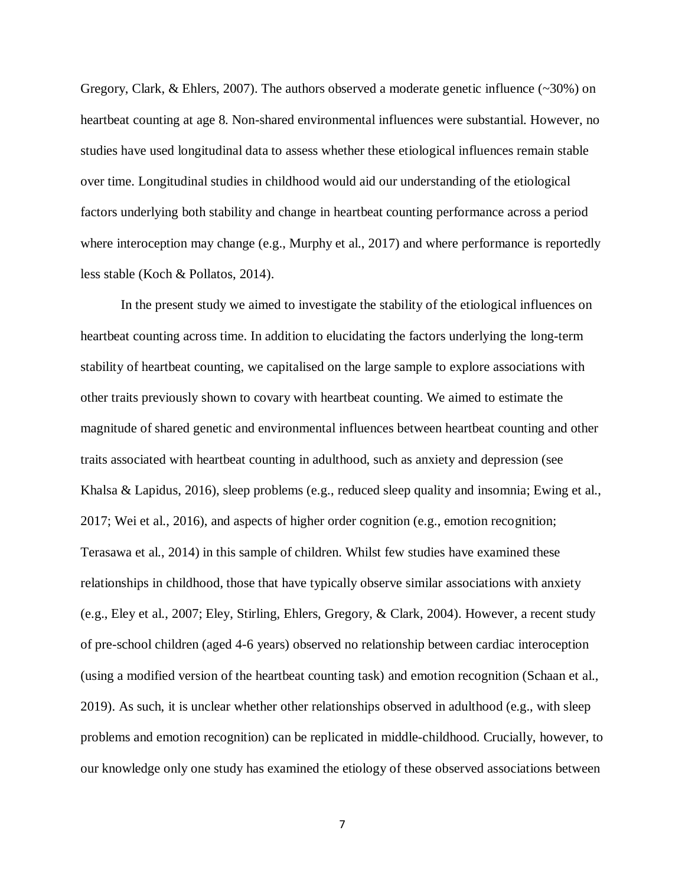Gregory, Clark, & Ehlers, 2007). The authors observed a moderate genetic influence  $(\sim 30\%)$  on heartbeat counting at age 8. Non-shared environmental influences were substantial. However, no studies have used longitudinal data to assess whether these etiological influences remain stable over time. Longitudinal studies in childhood would aid our understanding of the etiological factors underlying both stability and change in heartbeat counting performance across a period where interoception may change (e.g., Murphy et al., 2017) and where performance is reportedly less stable (Koch & Pollatos, 2014).

In the present study we aimed to investigate the stability of the etiological influences on heartbeat counting across time. In addition to elucidating the factors underlying the long-term stability of heartbeat counting, we capitalised on the large sample to explore associations with other traits previously shown to covary with heartbeat counting. We aimed to estimate the magnitude of shared genetic and environmental influences between heartbeat counting and other traits associated with heartbeat counting in adulthood, such as anxiety and depression (see Khalsa & Lapidus, 2016), sleep problems (e.g., reduced sleep quality and insomnia; Ewing et al., 2017; Wei et al., 2016), and aspects of higher order cognition (e.g., emotion recognition; Terasawa et al., 2014) in this sample of children. Whilst few studies have examined these relationships in childhood, those that have typically observe similar associations with anxiety (e.g., Eley et al., 2007; Eley, Stirling, Ehlers, Gregory, & Clark, 2004). However, a recent study of pre-school children (aged 4-6 years) observed no relationship between cardiac interoception (using a modified version of the heartbeat counting task) and emotion recognition (Schaan et al., 2019). As such, it is unclear whether other relationships observed in adulthood (e.g., with sleep problems and emotion recognition) can be replicated in middle-childhood. Crucially, however, to our knowledge only one study has examined the etiology of these observed associations between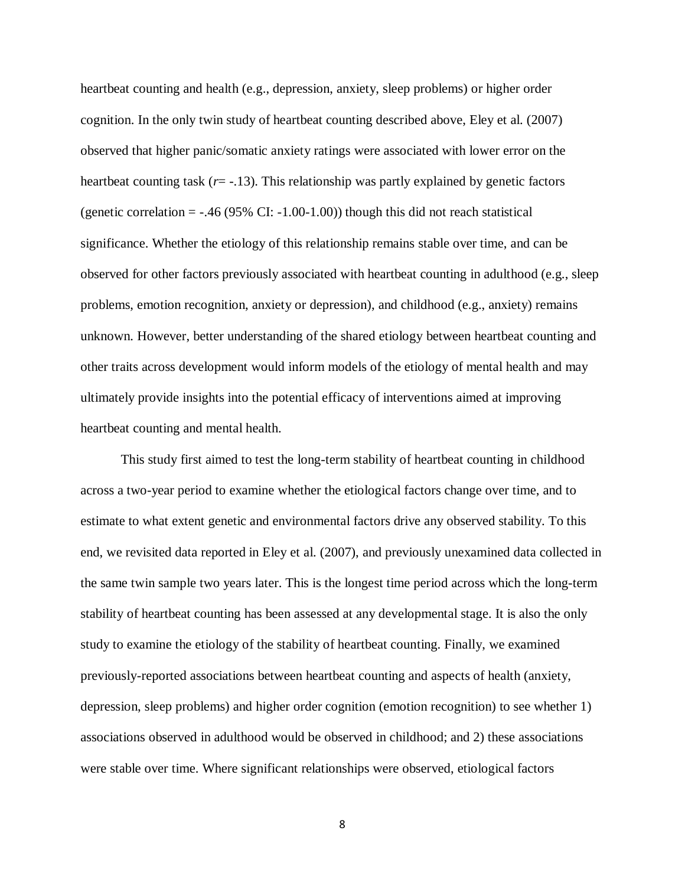heartbeat counting and health (e.g., depression, anxiety, sleep problems) or higher order cognition. In the only twin study of heartbeat counting described above, Eley et al. (2007) observed that higher panic/somatic anxiety ratings were associated with lower error on the heartbeat counting task  $(r=-13)$ . This relationship was partly explained by genetic factors (genetic correlation  $=$  -.46 (95% CI: -1.00-1.00)) though this did not reach statistical significance. Whether the etiology of this relationship remains stable over time, and can be observed for other factors previously associated with heartbeat counting in adulthood (e.g., sleep problems, emotion recognition, anxiety or depression), and childhood (e.g., anxiety) remains unknown. However, better understanding of the shared etiology between heartbeat counting and other traits across development would inform models of the etiology of mental health and may ultimately provide insights into the potential efficacy of interventions aimed at improving heartbeat counting and mental health.

This study first aimed to test the long-term stability of heartbeat counting in childhood across a two-year period to examine whether the etiological factors change over time, and to estimate to what extent genetic and environmental factors drive any observed stability. To this end, we revisited data reported in Eley et al. (2007), and previously unexamined data collected in the same twin sample two years later. This is the longest time period across which the long-term stability of heartbeat counting has been assessed at any developmental stage. It is also the only study to examine the etiology of the stability of heartbeat counting. Finally, we examined previously-reported associations between heartbeat counting and aspects of health (anxiety, depression, sleep problems) and higher order cognition (emotion recognition) to see whether 1) associations observed in adulthood would be observed in childhood; and 2) these associations were stable over time. Where significant relationships were observed, etiological factors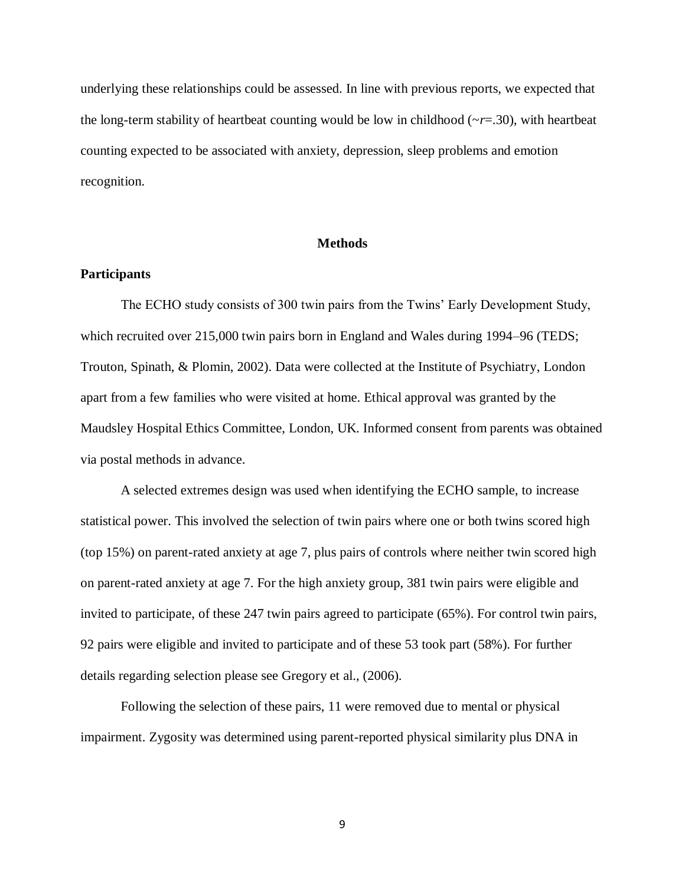underlying these relationships could be assessed. In line with previous reports, we expected that the long-term stability of heartbeat counting would be low in childhood  $(\sim r=0.30)$ , with heartbeat counting expected to be associated with anxiety, depression, sleep problems and emotion recognition.

#### **Methods**

## **Participants**

The ECHO study consists of 300 twin pairs from the Twins' Early Development Study, which recruited over 215,000 twin pairs born in England and Wales during 1994–96 (TEDS; Trouton, Spinath, & Plomin, 2002). Data were collected at the Institute of Psychiatry, London apart from a few families who were visited at home. Ethical approval was granted by the Maudsley Hospital Ethics Committee, London, UK. Informed consent from parents was obtained via postal methods in advance.

A selected extremes design was used when identifying the ECHO sample, to increase statistical power. This involved the selection of twin pairs where one or both twins scored high (top 15%) on parent-rated anxiety at age 7, plus pairs of controls where neither twin scored high on parent-rated anxiety at age 7. For the high anxiety group, 381 twin pairs were eligible and invited to participate, of these 247 twin pairs agreed to participate (65%). For control twin pairs, 92 pairs were eligible and invited to participate and of these 53 took part (58%). For further details regarding selection please see Gregory et al., (2006).

Following the selection of these pairs, 11 were removed due to mental or physical impairment. Zygosity was determined using parent-reported physical similarity plus DNA in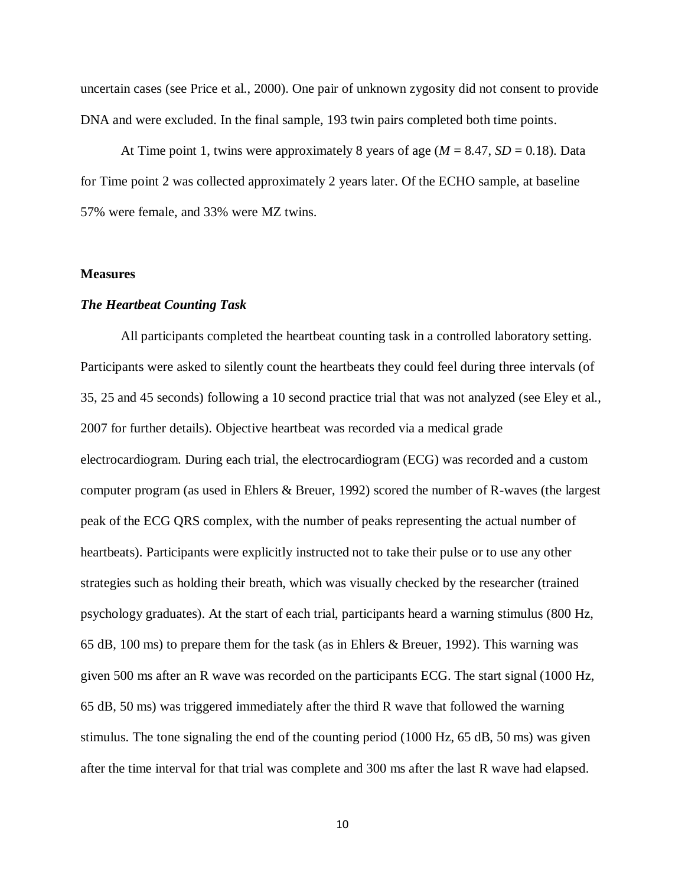uncertain cases (see Price et al., 2000). One pair of unknown zygosity did not consent to provide DNA and were excluded. In the final sample, 193 twin pairs completed both time points.

At Time point 1, twins were approximately 8 years of age  $(M = 8.47, SD = 0.18)$ . Data for Time point 2 was collected approximately 2 years later. Of the ECHO sample, at baseline 57% were female, and 33% were MZ twins.

#### **Measures**

#### *The Heartbeat Counting Task*

All participants completed the heartbeat counting task in a controlled laboratory setting. Participants were asked to silently count the heartbeats they could feel during three intervals (of 35, 25 and 45 seconds) following a 10 second practice trial that was not analyzed (see Eley et al., 2007 for further details). Objective heartbeat was recorded via a medical grade electrocardiogram. During each trial, the electrocardiogram (ECG) was recorded and a custom computer program (as used in Ehlers & Breuer, 1992) scored the number of R-waves (the largest peak of the ECG QRS complex, with the number of peaks representing the actual number of heartbeats). Participants were explicitly instructed not to take their pulse or to use any other strategies such as holding their breath, which was visually checked by the researcher (trained psychology graduates). At the start of each trial, participants heard a warning stimulus (800 Hz, 65 dB, 100 ms) to prepare them for the task (as in Ehlers & Breuer, 1992). This warning was given 500 ms after an R wave was recorded on the participants ECG. The start signal (1000 Hz, 65 dB, 50 ms) was triggered immediately after the third R wave that followed the warning stimulus. The tone signaling the end of the counting period (1000 Hz, 65 dB, 50 ms) was given after the time interval for that trial was complete and 300 ms after the last R wave had elapsed.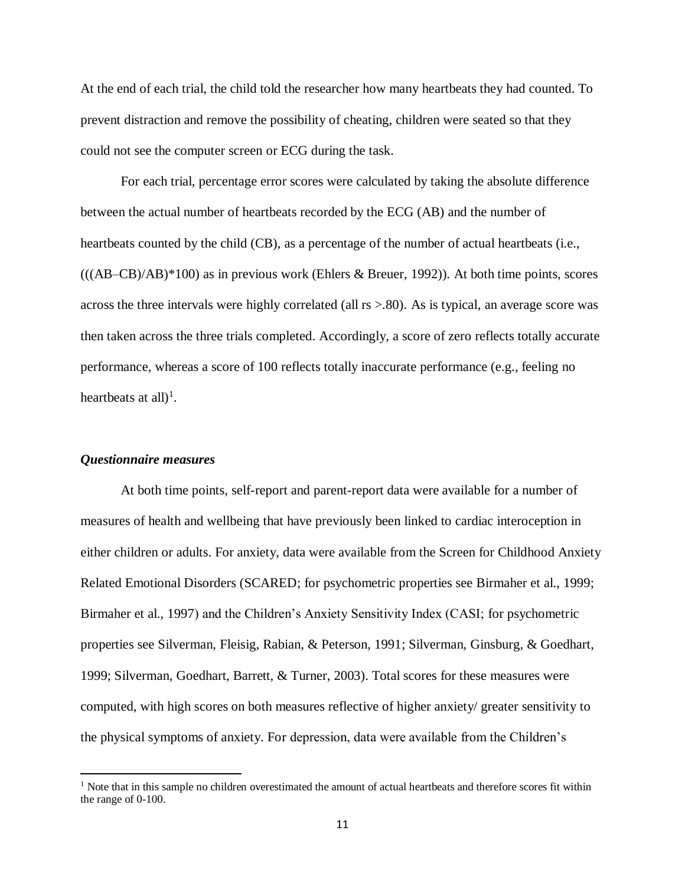At the end of each trial, the child told the researcher how many heartbeats they had counted. To prevent distraction and remove the possibility of cheating, children were seated so that they could not see the computer screen or ECG during the task.

For each trial, percentage error scores were calculated by taking the absolute difference between the actual number of heartbeats recorded by the ECG (AB) and the number of heartbeats counted by the child (CB), as a percentage of the number of actual heartbeats (i.e.,  $(((AB-CB)/AB)*100)$  as in previous work (Ehlers & Breuer, 1992)). At both time points, scores across the three intervals were highly correlated (all rs >.80). As is typical, an average score was then taken across the three trials completed. Accordingly, a score of zero reflects totally accurate performance, whereas a score of 100 reflects totally inaccurate performance (e.g., feeling no heartbeats at all)<sup>1</sup>.

#### *Questionnaire measures*

At both time points, self-report and parent-report data were available for a number of measures of health and wellbeing that have previously been linked to cardiac interoception in either children or adults. For anxiety, data were available from the Screen for Childhood Anxiety Related Emotional Disorders (SCARED; for psychometric properties see Birmaher et al., 1999; Birmaher et al., 1997) and the Children's Anxiety Sensitivity Index (CASI; for psychometric properties see Silverman, Fleisig, Rabian, & Peterson, 1991; Silverman, Ginsburg, & Goedhart, 1999; Silverman, Goedhart, Barrett, & Turner, 2003). Total scores for these measures were computed, with high scores on both measures reflective of higher anxiety/ greater sensitivity to the physical symptoms of anxiety. For depression, data were available from the Children's

 $<sup>1</sup>$  Note that in this sample no children overestimated the amount of actual heartbeats and therefore scores fit within</sup> the range of 0-100.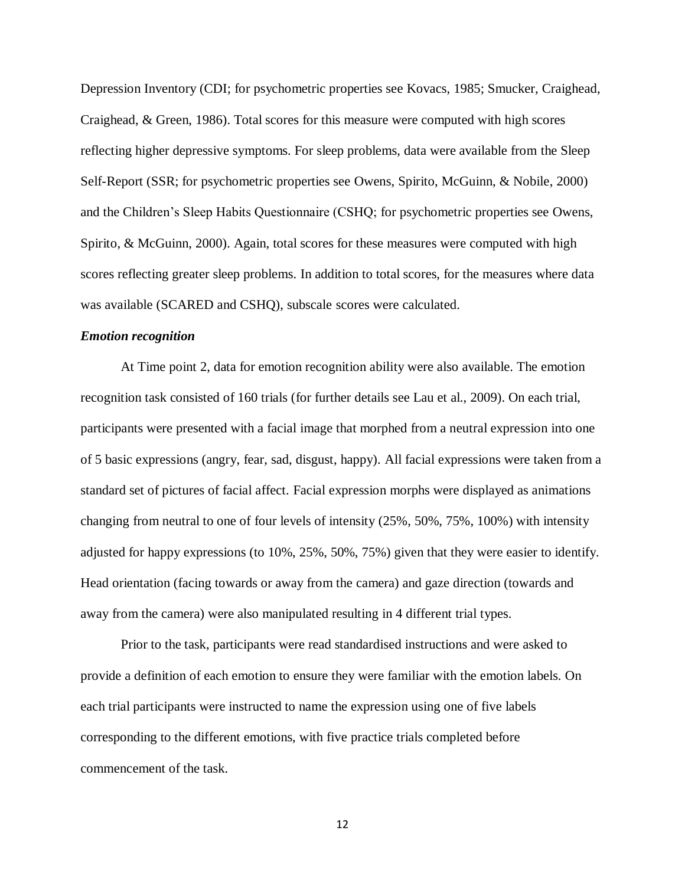Depression Inventory (CDI; for psychometric properties see Kovacs, 1985; Smucker, Craighead, Craighead, & Green, 1986). Total scores for this measure were computed with high scores reflecting higher depressive symptoms. For sleep problems, data were available from the Sleep Self-Report (SSR; for psychometric properties see Owens, Spirito, McGuinn, & Nobile, 2000) and the Children's Sleep Habits Questionnaire (CSHQ; for psychometric properties see Owens, Spirito, & McGuinn, 2000). Again, total scores for these measures were computed with high scores reflecting greater sleep problems. In addition to total scores, for the measures where data was available (SCARED and CSHQ), subscale scores were calculated.

#### *Emotion recognition*

At Time point 2, data for emotion recognition ability were also available. The emotion recognition task consisted of 160 trials (for further details see Lau et al., 2009). On each trial, participants were presented with a facial image that morphed from a neutral expression into one of 5 basic expressions (angry, fear, sad, disgust, happy). All facial expressions were taken from a standard set of pictures of facial affect. Facial expression morphs were displayed as animations changing from neutral to one of four levels of intensity (25%, 50%, 75%, 100%) with intensity adjusted for happy expressions (to 10%, 25%, 50%, 75%) given that they were easier to identify. Head orientation (facing towards or away from the camera) and gaze direction (towards and away from the camera) were also manipulated resulting in 4 different trial types.

Prior to the task, participants were read standardised instructions and were asked to provide a definition of each emotion to ensure they were familiar with the emotion labels. On each trial participants were instructed to name the expression using one of five labels corresponding to the different emotions, with five practice trials completed before commencement of the task.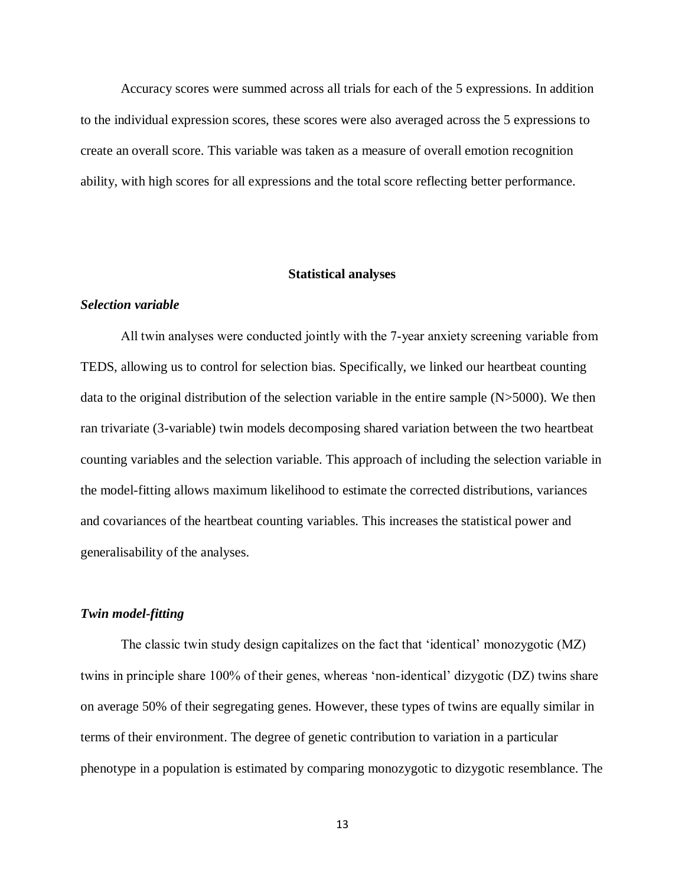Accuracy scores were summed across all trials for each of the 5 expressions. In addition to the individual expression scores, these scores were also averaged across the 5 expressions to create an overall score. This variable was taken as a measure of overall emotion recognition ability, with high scores for all expressions and the total score reflecting better performance.

#### **Statistical analyses**

#### *Selection variable*

All twin analyses were conducted jointly with the 7‐year anxiety screening variable from TEDS, allowing us to control for selection bias. Specifically, we linked our heartbeat counting data to the original distribution of the selection variable in the entire sample (N>5000). We then ran trivariate (3-variable) twin models decomposing shared variation between the two heartbeat counting variables and the selection variable. This approach of including the selection variable in the model-fitting allows maximum likelihood to estimate the corrected distributions, variances and covariances of the heartbeat counting variables. This increases the statistical power and generalisability of the analyses.

#### *Twin model-fitting*

The classic twin study design capitalizes on the fact that 'identical' monozygotic (MZ) twins in principle share 100% of their genes, whereas 'non-identical' dizygotic (DZ) twins share on average 50% of their segregating genes. However, these types of twins are equally similar in terms of their environment. The degree of genetic contribution to variation in a particular phenotype in a population is estimated by comparing monozygotic to dizygotic resemblance. The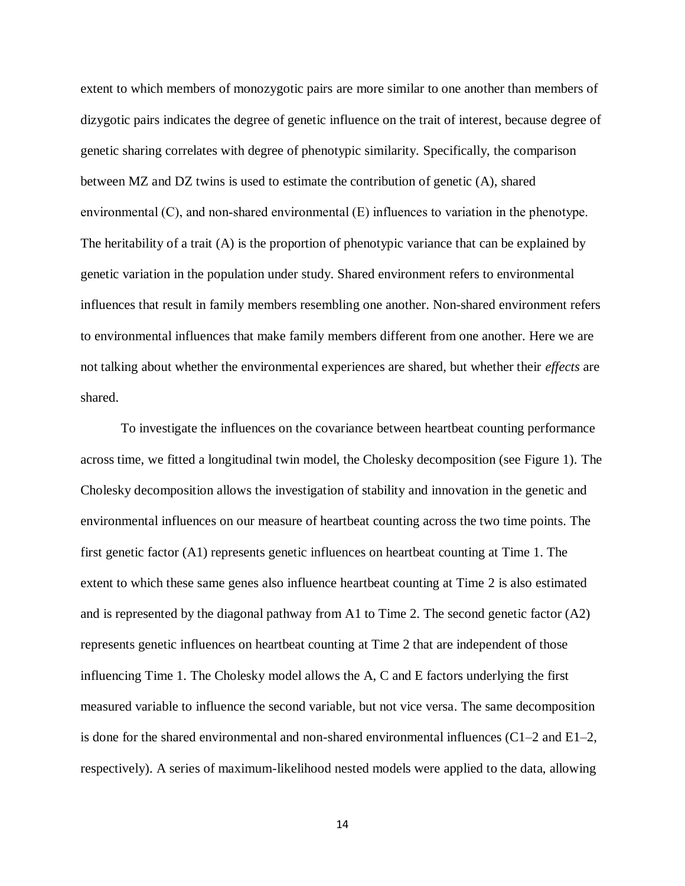extent to which members of monozygotic pairs are more similar to one another than members of dizygotic pairs indicates the degree of genetic influence on the trait of interest, because degree of genetic sharing correlates with degree of phenotypic similarity. Specifically, the comparison between MZ and DZ twins is used to estimate the contribution of genetic (A), shared environmental  $(C)$ , and non-shared environmental  $(E)$  influences to variation in the phenotype. The heritability of a trait (A) is the proportion of phenotypic variance that can be explained by genetic variation in the population under study. Shared environment refers to environmental influences that result in family members resembling one another. Non-shared environment refers to environmental influences that make family members different from one another. Here we are not talking about whether the environmental experiences are shared, but whether their *effects* are shared.

To investigate the influences on the covariance between heartbeat counting performance across time, we fitted a longitudinal twin model, the Cholesky decomposition (see Figure 1). The Cholesky decomposition allows the investigation of stability and innovation in the genetic and environmental influences on our measure of heartbeat counting across the two time points. The first genetic factor (A1) represents genetic influences on heartbeat counting at Time 1. The extent to which these same genes also influence heartbeat counting at Time 2 is also estimated and is represented by the diagonal pathway from A1 to Time 2. The second genetic factor (A2) represents genetic influences on heartbeat counting at Time 2 that are independent of those influencing Time 1. The Cholesky model allows the A, C and E factors underlying the first measured variable to influence the second variable, but not vice versa. The same decomposition is done for the shared environmental and non-shared environmental influences (C1–2 and E1–2, respectively). A series of maximum-likelihood nested models were applied to the data, allowing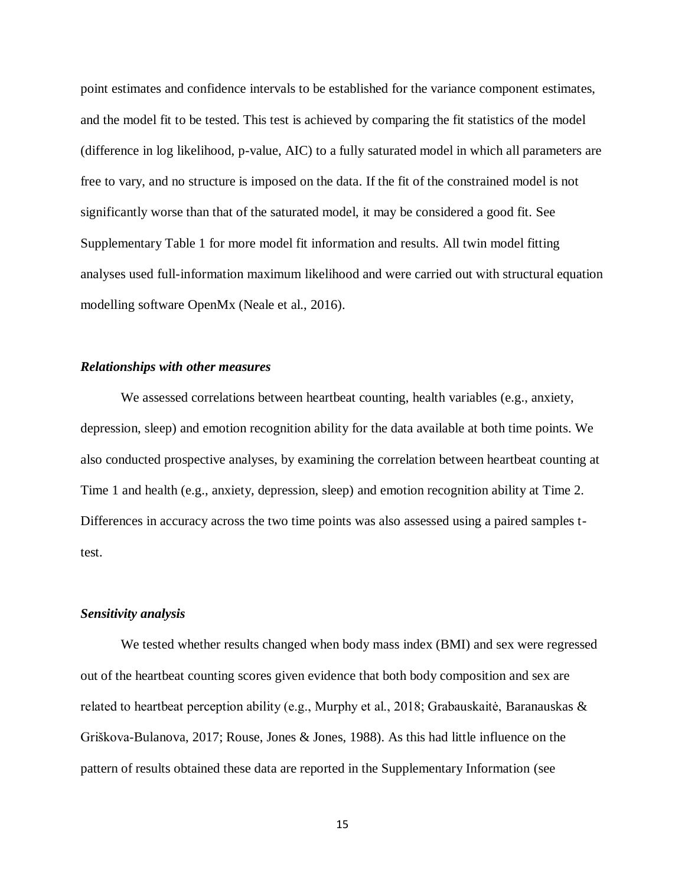point estimates and confidence intervals to be established for the variance component estimates, and the model fit to be tested. This test is achieved by comparing the fit statistics of the model (difference in log likelihood, p-value, AIC) to a fully saturated model in which all parameters are free to vary, and no structure is imposed on the data. If the fit of the constrained model is not significantly worse than that of the saturated model, it may be considered a good fit. See Supplementary Table 1 for more model fit information and results. All twin model fitting analyses used full-information maximum likelihood and were carried out with structural equation modelling software OpenMx (Neale et al., 2016).

#### *Relationships with other measures*

We assessed correlations between heartbeat counting, health variables (e.g., anxiety, depression, sleep) and emotion recognition ability for the data available at both time points. We also conducted prospective analyses, by examining the correlation between heartbeat counting at Time 1 and health (e.g., anxiety, depression, sleep) and emotion recognition ability at Time 2. Differences in accuracy across the two time points was also assessed using a paired samples ttest.

#### *Sensitivity analysis*

We tested whether results changed when body mass index (BMI) and sex were regressed out of the heartbeat counting scores given evidence that both body composition and sex are related to heartbeat perception ability (e.g., Murphy et al., 2018; Grabauskaitė, Baranauskas & Griškova-Bulanova, 2017; Rouse, Jones & Jones, 1988). As this had little influence on the pattern of results obtained these data are reported in the Supplementary Information (see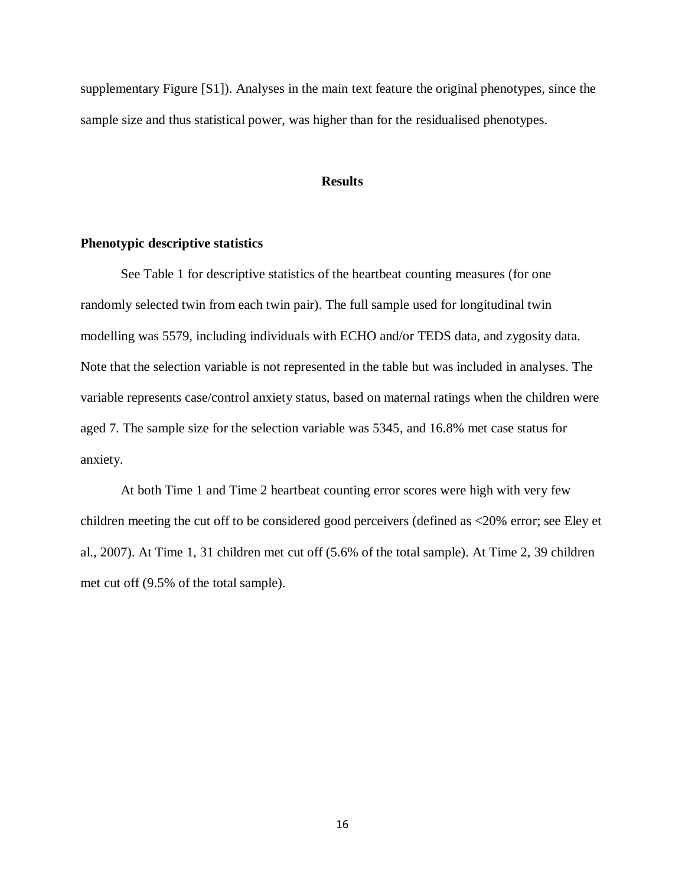supplementary Figure [S1]). Analyses in the main text feature the original phenotypes, since the sample size and thus statistical power, was higher than for the residualised phenotypes.

#### **Results**

#### **Phenotypic descriptive statistics**

See Table 1 for descriptive statistics of the heartbeat counting measures (for one randomly selected twin from each twin pair). The full sample used for longitudinal twin modelling was 5579, including individuals with ECHO and/or TEDS data, and zygosity data. Note that the selection variable is not represented in the table but was included in analyses. The variable represents case/control anxiety status, based on maternal ratings when the children were aged 7. The sample size for the selection variable was 5345, and 16.8% met case status for anxiety.

At both Time 1 and Time 2 heartbeat counting error scores were high with very few children meeting the cut off to be considered good perceivers (defined as <20% error; see Eley et al., 2007). At Time 1, 31 children met cut off (5.6% of the total sample). At Time 2, 39 children met cut off (9.5% of the total sample).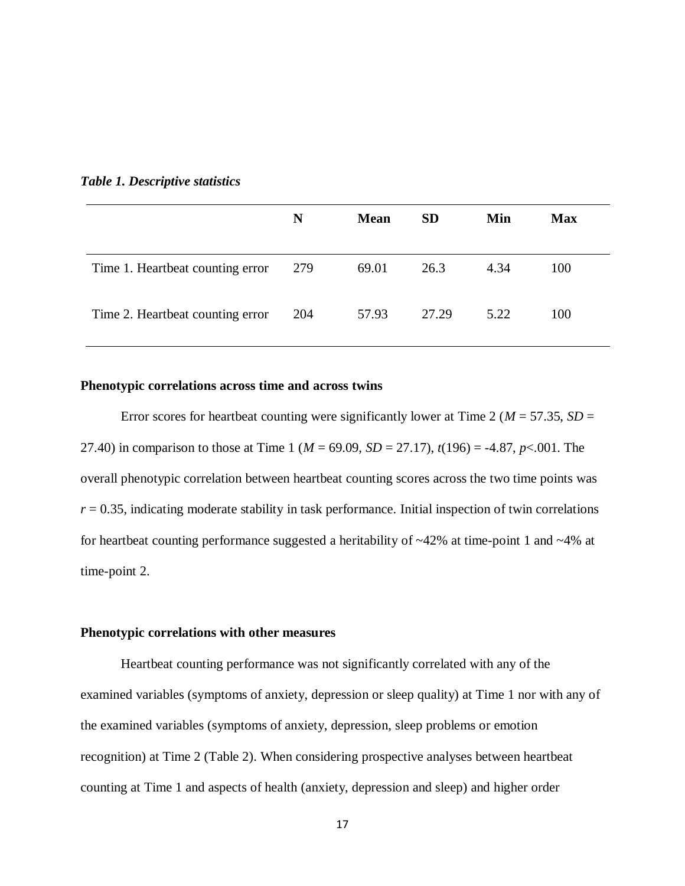|                                  | N   | <b>Mean</b> | <b>SD</b> | Min  | <b>Max</b> |
|----------------------------------|-----|-------------|-----------|------|------------|
| Time 1. Heartbeat counting error | 279 | 69.01       | 26.3      | 4.34 | 100        |
| Time 2. Heartbeat counting error | 204 | 57.93       | 27.29     | 5.22 | 100        |

*Table 1. Descriptive statistics* 

#### **Phenotypic correlations across time and across twins**

Error scores for heartbeat counting were significantly lower at Time 2 ( $M = 57.35$ ,  $SD =$ 27.40) in comparison to those at Time 1 (*M* = 69.09, *SD* = 27.17), *t*(196) = -4.87, *p*<.001. The overall phenotypic correlation between heartbeat counting scores across the two time points was  $r = 0.35$ , indicating moderate stability in task performance. Initial inspection of twin correlations for heartbeat counting performance suggested a heritability of ~42% at time-point 1 and ~4% at time-point 2.

#### **Phenotypic correlations with other measures**

Heartbeat counting performance was not significantly correlated with any of the examined variables (symptoms of anxiety, depression or sleep quality) at Time 1 nor with any of the examined variables (symptoms of anxiety, depression, sleep problems or emotion recognition) at Time 2 (Table 2). When considering prospective analyses between heartbeat counting at Time 1 and aspects of health (anxiety, depression and sleep) and higher order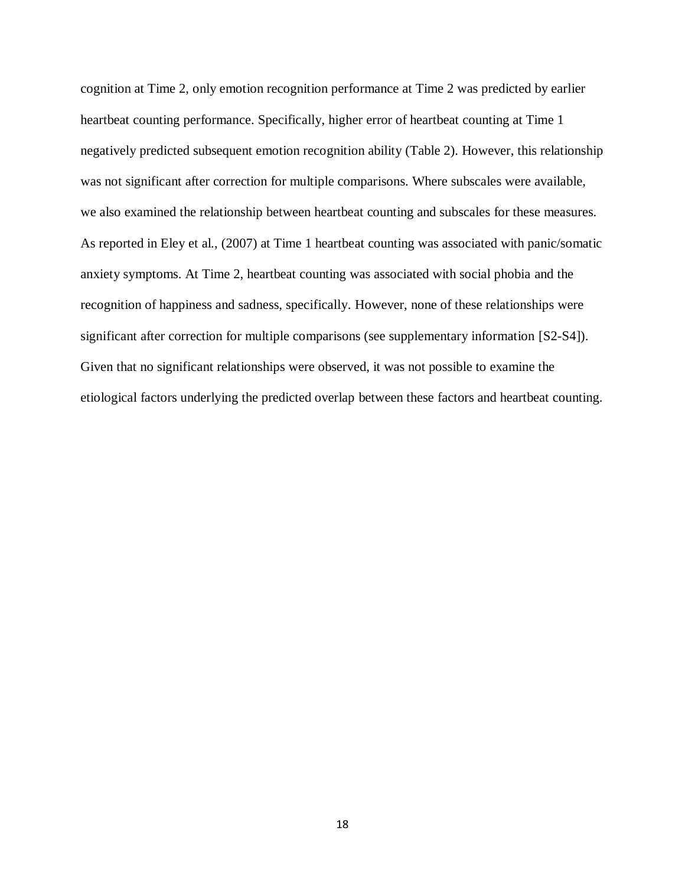cognition at Time 2, only emotion recognition performance at Time 2 was predicted by earlier heartbeat counting performance. Specifically, higher error of heartbeat counting at Time 1 negatively predicted subsequent emotion recognition ability (Table 2). However, this relationship was not significant after correction for multiple comparisons. Where subscales were available, we also examined the relationship between heartbeat counting and subscales for these measures. As reported in Eley et al., (2007) at Time 1 heartbeat counting was associated with panic/somatic anxiety symptoms. At Time 2, heartbeat counting was associated with social phobia and the recognition of happiness and sadness, specifically. However, none of these relationships were significant after correction for multiple comparisons (see supplementary information [S2-S4]). Given that no significant relationships were observed, it was not possible to examine the etiological factors underlying the predicted overlap between these factors and heartbeat counting.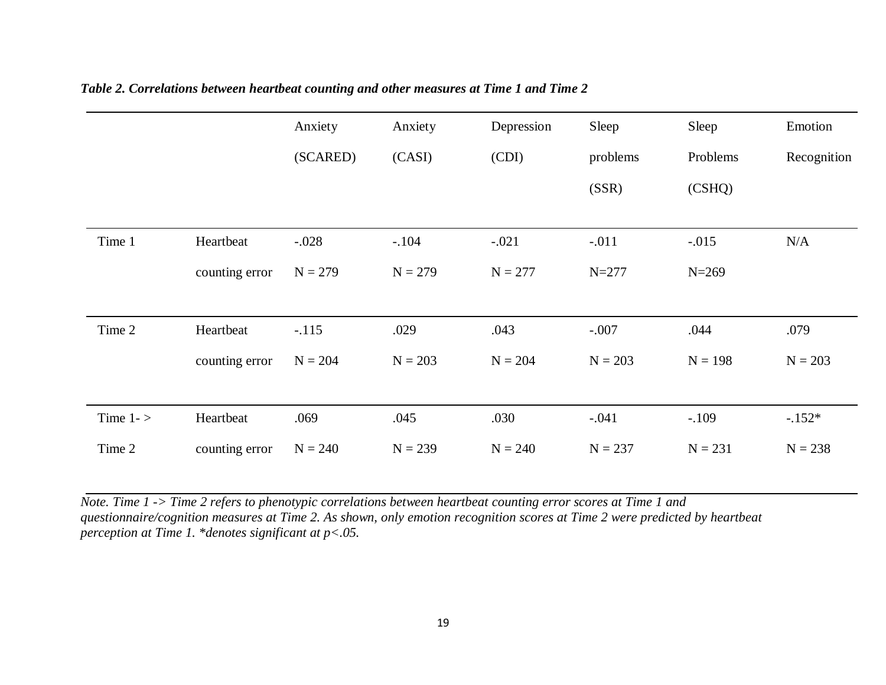|            |                | Anxiety   | Anxiety   | Depression | Sleep     | Sleep     | Emotion     |
|------------|----------------|-----------|-----------|------------|-----------|-----------|-------------|
|            |                | (SCARED)  | (CASI)    | (CDI)      | problems  | Problems  | Recognition |
|            |                |           |           |            | (SSR)     | (CSHQ)    |             |
|            |                |           |           |            |           |           |             |
| Time 1     | Heartbeat      | $-.028$   | $-.104$   | $-.021$    | $-.011$   | $-.015$   | N/A         |
|            | counting error | $N = 279$ | $N = 279$ | $N = 277$  | $N = 277$ | $N = 269$ |             |
|            |                |           |           |            |           |           |             |
| Time 2     | Heartbeat      | $-.115$   | .029      | .043       | $-.007$   | .044      | .079        |
|            | counting error | $N = 204$ | $N = 203$ | $N = 204$  | $N = 203$ | $N = 198$ | $N = 203$   |
|            |                |           |           |            |           |           |             |
| Time $1 -$ | Heartbeat      | .069      | .045      | .030       | $-.041$   | $-.109$   | $-.152*$    |
| Time 2     | counting error | $N = 240$ | $N = 239$ | $N = 240$  | $N = 237$ | $N = 231$ | $N = 238$   |

## *Table 2. Correlations between heartbeat counting and other measures at Time 1 and Time 2*

*Note. Time 1 -> Time 2 refers to phenotypic correlations between heartbeat counting error scores at Time 1 and questionnaire/cognition measures at Time 2. As shown, only emotion recognition scores at Time 2 were predicted by heartbeat perception at Time 1. \*denotes significant at p<.05.*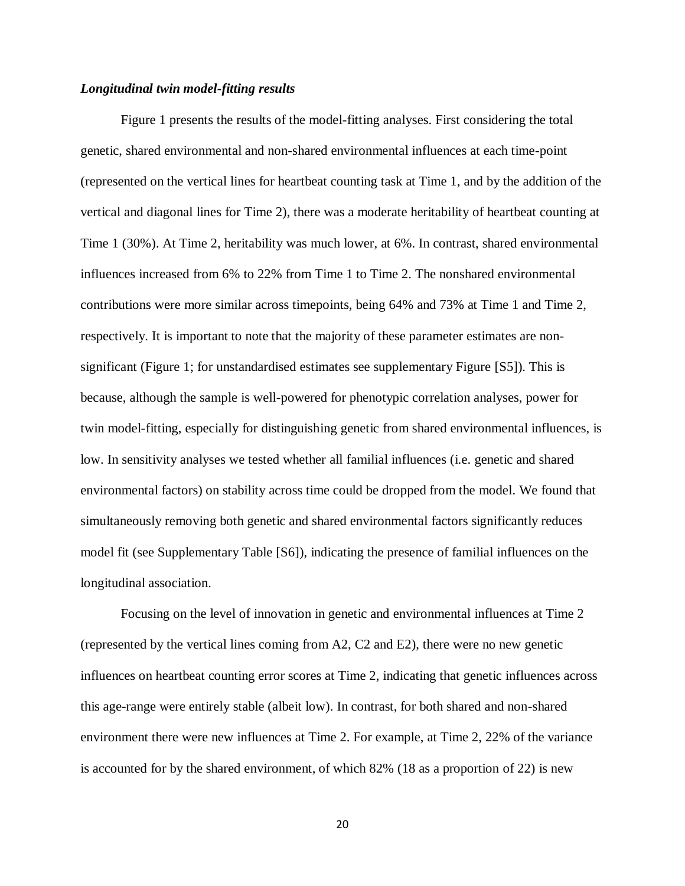#### *Longitudinal twin model-fitting results*

Figure 1 presents the results of the model-fitting analyses. First considering the total genetic, shared environmental and non-shared environmental influences at each time-point (represented on the vertical lines for heartbeat counting task at Time 1, and by the addition of the vertical and diagonal lines for Time 2), there was a moderate heritability of heartbeat counting at Time 1 (30%). At Time 2, heritability was much lower, at 6%. In contrast, shared environmental influences increased from 6% to 22% from Time 1 to Time 2. The nonshared environmental contributions were more similar across timepoints, being 64% and 73% at Time 1 and Time 2, respectively. It is important to note that the majority of these parameter estimates are nonsignificant (Figure 1; for unstandardised estimates see supplementary Figure [S5]). This is because, although the sample is well-powered for phenotypic correlation analyses, power for twin model-fitting, especially for distinguishing genetic from shared environmental influences, is low. In sensitivity analyses we tested whether all familial influences (i.e. genetic and shared environmental factors) on stability across time could be dropped from the model. We found that simultaneously removing both genetic and shared environmental factors significantly reduces model fit (see Supplementary Table [S6]), indicating the presence of familial influences on the longitudinal association.

Focusing on the level of innovation in genetic and environmental influences at Time 2 (represented by the vertical lines coming from A2, C2 and E2), there were no new genetic influences on heartbeat counting error scores at Time 2, indicating that genetic influences across this age-range were entirely stable (albeit low). In contrast, for both shared and non-shared environment there were new influences at Time 2. For example, at Time 2, 22% of the variance is accounted for by the shared environment, of which 82% (18 as a proportion of 22) is new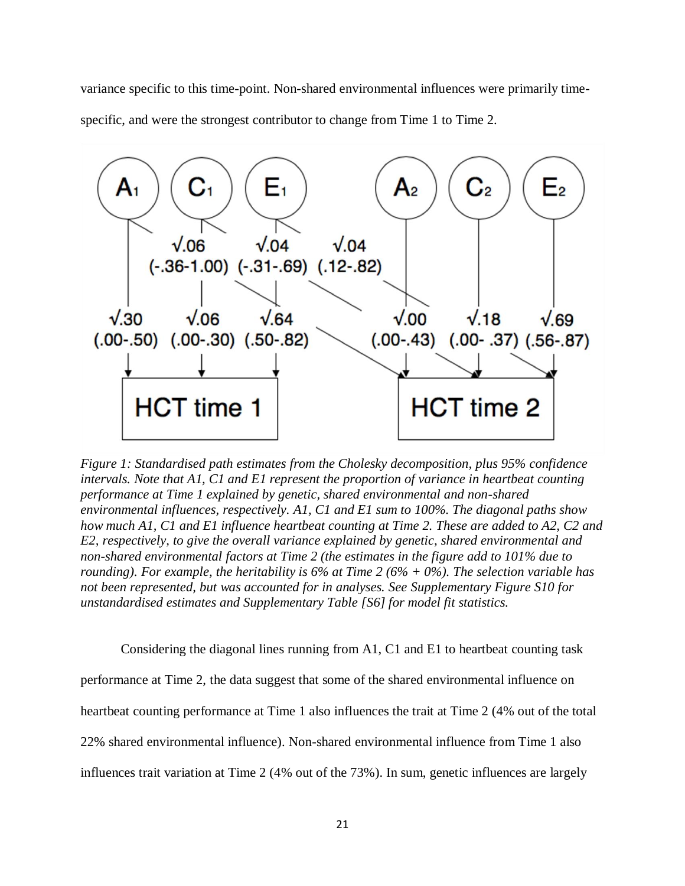variance specific to this time-point. Non-shared environmental influences were primarily timespecific, and were the strongest contributor to change from Time 1 to Time 2.



*Figure 1: Standardised path estimates from the Cholesky decomposition, plus 95% confidence intervals. Note that A1, C1 and E1 represent the proportion of variance in heartbeat counting performance at Time 1 explained by genetic, shared environmental and non-shared environmental influences, respectively. A1, C1 and E1 sum to 100%. The diagonal paths show how much A1, C1 and E1 influence heartbeat counting at Time 2. These are added to A2, C2 and E2, respectively, to give the overall variance explained by genetic, shared environmental and non-shared environmental factors at Time 2 (the estimates in the figure add to 101% due to rounding). For example, the heritability is 6% at Time 2 (6% + 0%). The selection variable has not been represented, but was accounted for in analyses. See Supplementary Figure S10 for unstandardised estimates and Supplementary Table [S6] for model fit statistics.*

Considering the diagonal lines running from A1, C1 and E1 to heartbeat counting task performance at Time 2, the data suggest that some of the shared environmental influence on heartbeat counting performance at Time 1 also influences the trait at Time 2 (4% out of the total 22% shared environmental influence). Non-shared environmental influence from Time 1 also influences trait variation at Time 2 (4% out of the 73%). In sum, genetic influences are largely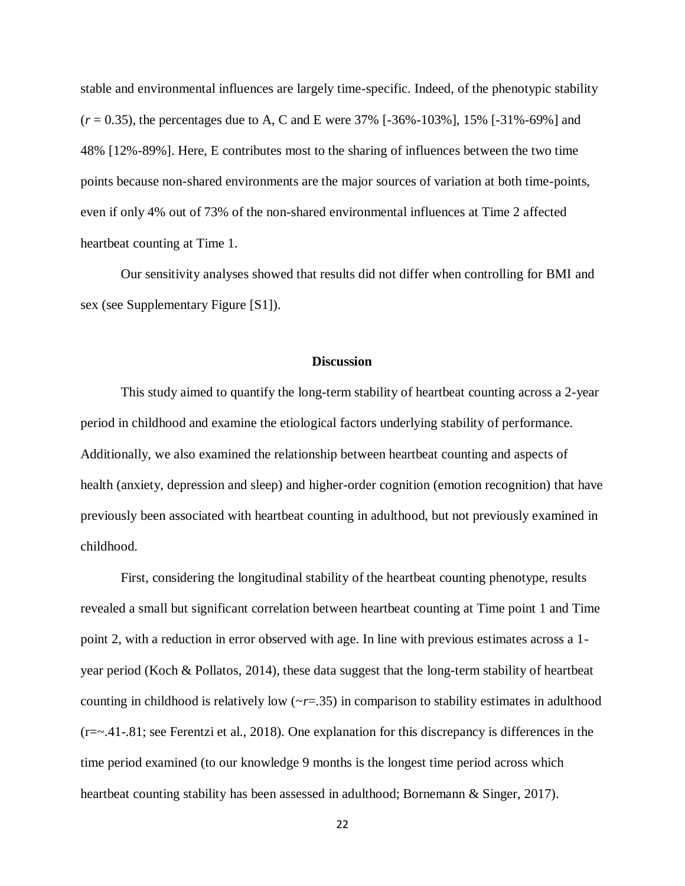stable and environmental influences are largely time-specific. Indeed, of the phenotypic stability (*r* = 0.35), the percentages due to A, C and E were 37% [-36%-103%], 15% [-31%-69%] and 48% [12%-89%]. Here, E contributes most to the sharing of influences between the two time points because non-shared environments are the major sources of variation at both time-points, even if only 4% out of 73% of the non-shared environmental influences at Time 2 affected heartbeat counting at Time 1.

Our sensitivity analyses showed that results did not differ when controlling for BMI and sex (see Supplementary Figure [S1]).

#### **Discussion**

This study aimed to quantify the long-term stability of heartbeat counting across a 2-year period in childhood and examine the etiological factors underlying stability of performance. Additionally, we also examined the relationship between heartbeat counting and aspects of health (anxiety, depression and sleep) and higher-order cognition (emotion recognition) that have previously been associated with heartbeat counting in adulthood, but not previously examined in childhood.

First, considering the longitudinal stability of the heartbeat counting phenotype, results revealed a small but significant correlation between heartbeat counting at Time point 1 and Time point 2, with a reduction in error observed with age. In line with previous estimates across a 1 year period (Koch & Pollatos, 2014), these data suggest that the long-term stability of heartbeat counting in childhood is relatively low (~*r*=.35) in comparison to stability estimates in adulthood (r=~.41-.81; see Ferentzi et al., 2018). One explanation for this discrepancy is differences in the time period examined (to our knowledge 9 months is the longest time period across which heartbeat counting stability has been assessed in adulthood; Bornemann & Singer, 2017).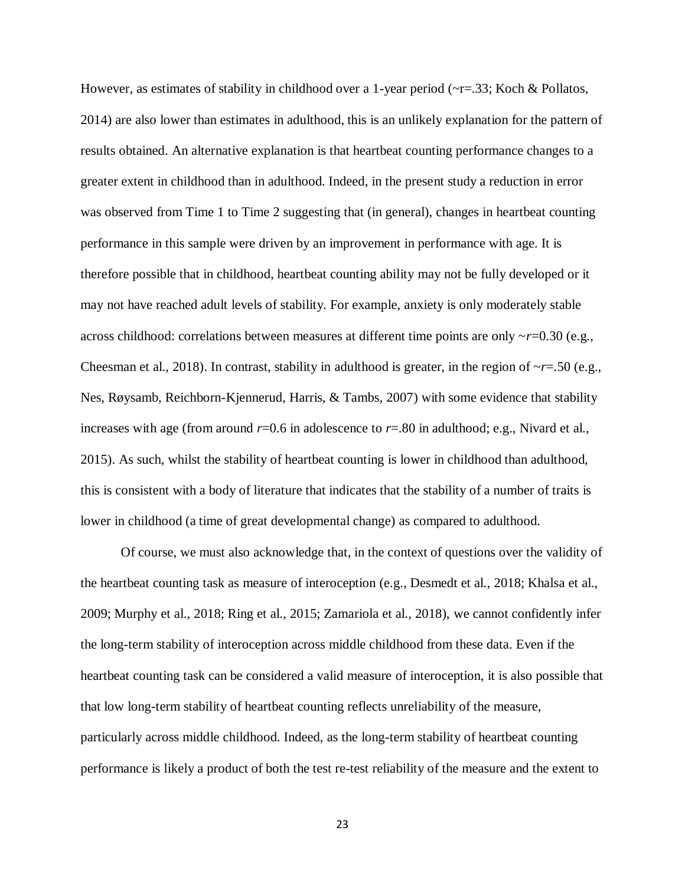However, as estimates of stability in childhood over a 1-year period ( $\sim$ r=.33; Koch & Pollatos, 2014) are also lower than estimates in adulthood, this is an unlikely explanation for the pattern of results obtained. An alternative explanation is that heartbeat counting performance changes to a greater extent in childhood than in adulthood. Indeed, in the present study a reduction in error was observed from Time 1 to Time 2 suggesting that (in general), changes in heartbeat counting performance in this sample were driven by an improvement in performance with age. It is therefore possible that in childhood, heartbeat counting ability may not be fully developed or it may not have reached adult levels of stability. For example, anxiety is only moderately stable across childhood: correlations between measures at different time points are only ~*r*=0.30 (e.g., Cheesman et al., 2018). In contrast, stability in adulthood is greater, in the region of  $\sim$ *r*=.50 (e.g., Nes, Røysamb, Reichborn-Kjennerud, Harris, & Tambs, 2007) with some evidence that stability increases with age (from around  $r=0.6$  in adolescence to  $r=.80$  in adulthood; e.g., Nivard et al., 2015). As such, whilst the stability of heartbeat counting is lower in childhood than adulthood, this is consistent with a body of literature that indicates that the stability of a number of traits is lower in childhood (a time of great developmental change) as compared to adulthood.

Of course, we must also acknowledge that, in the context of questions over the validity of the heartbeat counting task as measure of interoception (e.g., Desmedt et al., 2018; Khalsa et al., 2009; Murphy et al., 2018; Ring et al., 2015; Zamariola et al., 2018), we cannot confidently infer the long-term stability of interoception across middle childhood from these data. Even if the heartbeat counting task can be considered a valid measure of interoception, it is also possible that that low long-term stability of heartbeat counting reflects unreliability of the measure, particularly across middle childhood. Indeed, as the long-term stability of heartbeat counting performance is likely a product of both the test re-test reliability of the measure and the extent to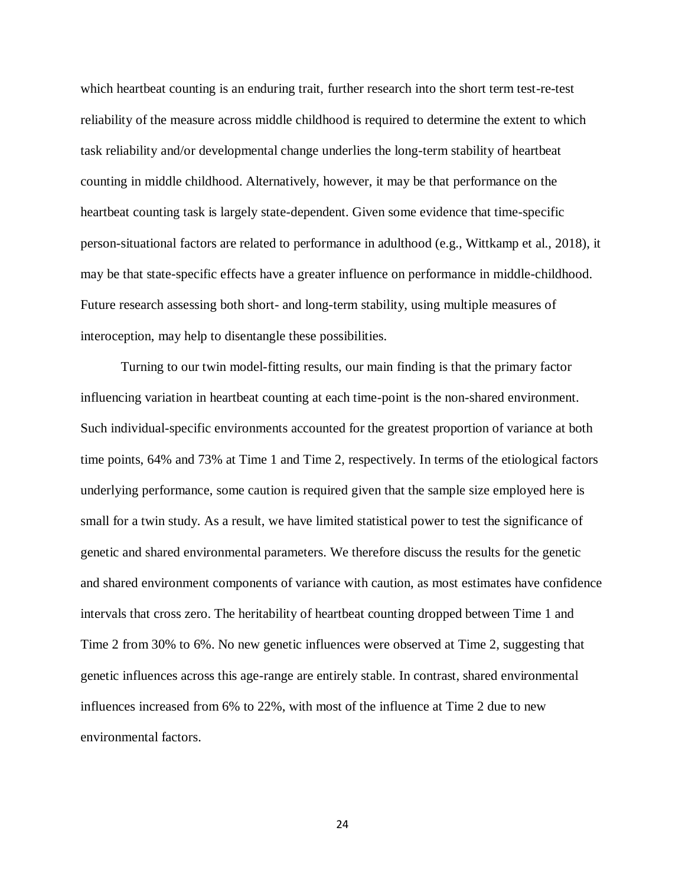which heartbeat counting is an enduring trait, further research into the short term test-re-test reliability of the measure across middle childhood is required to determine the extent to which task reliability and/or developmental change underlies the long-term stability of heartbeat counting in middle childhood. Alternatively, however, it may be that performance on the heartbeat counting task is largely state-dependent. Given some evidence that time-specific person-situational factors are related to performance in adulthood (e.g., Wittkamp et al., 2018), it may be that state-specific effects have a greater influence on performance in middle-childhood. Future research assessing both short- and long-term stability, using multiple measures of interoception, may help to disentangle these possibilities.

Turning to our twin model-fitting results, our main finding is that the primary factor influencing variation in heartbeat counting at each time-point is the non-shared environment. Such individual-specific environments accounted for the greatest proportion of variance at both time points, 64% and 73% at Time 1 and Time 2, respectively. In terms of the etiological factors underlying performance, some caution is required given that the sample size employed here is small for a twin study. As a result, we have limited statistical power to test the significance of genetic and shared environmental parameters. We therefore discuss the results for the genetic and shared environment components of variance with caution, as most estimates have confidence intervals that cross zero. The heritability of heartbeat counting dropped between Time 1 and Time 2 from 30% to 6%. No new genetic influences were observed at Time 2, suggesting that genetic influences across this age-range are entirely stable. In contrast, shared environmental influences increased from 6% to 22%, with most of the influence at Time 2 due to new environmental factors.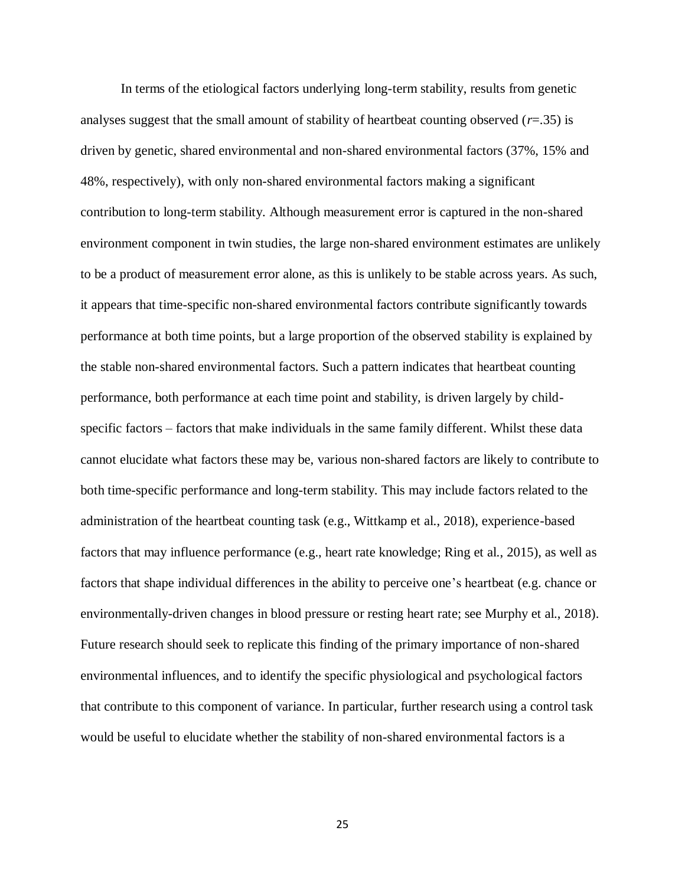In terms of the etiological factors underlying long-term stability, results from genetic analyses suggest that the small amount of stability of heartbeat counting observed  $(r=.35)$  is driven by genetic, shared environmental and non-shared environmental factors (37%, 15% and 48%, respectively), with only non-shared environmental factors making a significant contribution to long-term stability. Although measurement error is captured in the non-shared environment component in twin studies, the large non-shared environment estimates are unlikely to be a product of measurement error alone, as this is unlikely to be stable across years. As such, it appears that time-specific non-shared environmental factors contribute significantly towards performance at both time points, but a large proportion of the observed stability is explained by the stable non-shared environmental factors. Such a pattern indicates that heartbeat counting performance, both performance at each time point and stability, is driven largely by childspecific factors – factors that make individuals in the same family different. Whilst these data cannot elucidate what factors these may be, various non-shared factors are likely to contribute to both time-specific performance and long-term stability. This may include factors related to the administration of the heartbeat counting task (e.g., Wittkamp et al., 2018), experience-based factors that may influence performance (e.g., heart rate knowledge; Ring et al., 2015), as well as factors that shape individual differences in the ability to perceive one's heartbeat (e.g. chance or environmentally-driven changes in blood pressure or resting heart rate; see Murphy et al., 2018). Future research should seek to replicate this finding of the primary importance of non-shared environmental influences, and to identify the specific physiological and psychological factors that contribute to this component of variance. In particular, further research using a control task would be useful to elucidate whether the stability of non-shared environmental factors is a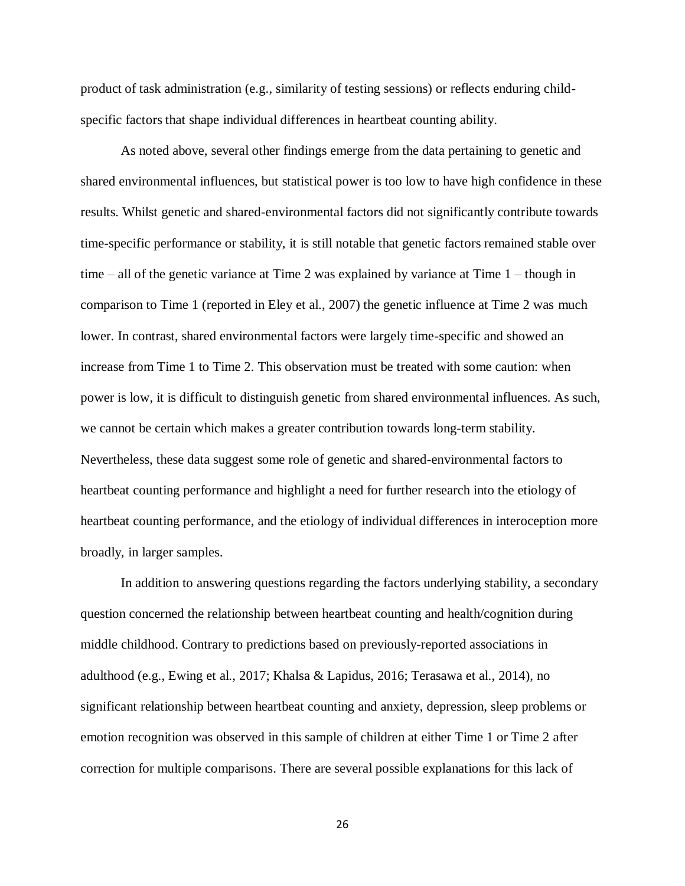product of task administration (e.g., similarity of testing sessions) or reflects enduring childspecific factors that shape individual differences in heartbeat counting ability.

As noted above, several other findings emerge from the data pertaining to genetic and shared environmental influences, but statistical power is too low to have high confidence in these results. Whilst genetic and shared-environmental factors did not significantly contribute towards time-specific performance or stability, it is still notable that genetic factors remained stable over time – all of the genetic variance at Time 2 was explained by variance at Time 1 – though in comparison to Time 1 (reported in Eley et al., 2007) the genetic influence at Time 2 was much lower. In contrast, shared environmental factors were largely time-specific and showed an increase from Time 1 to Time 2. This observation must be treated with some caution: when power is low, it is difficult to distinguish genetic from shared environmental influences. As such, we cannot be certain which makes a greater contribution towards long-term stability. Nevertheless, these data suggest some role of genetic and shared-environmental factors to heartbeat counting performance and highlight a need for further research into the etiology of heartbeat counting performance, and the etiology of individual differences in interoception more broadly, in larger samples.

In addition to answering questions regarding the factors underlying stability, a secondary question concerned the relationship between heartbeat counting and health/cognition during middle childhood. Contrary to predictions based on previously-reported associations in adulthood (e.g., Ewing et al., 2017; Khalsa & Lapidus, 2016; Terasawa et al., 2014), no significant relationship between heartbeat counting and anxiety, depression, sleep problems or emotion recognition was observed in this sample of children at either Time 1 or Time 2 after correction for multiple comparisons. There are several possible explanations for this lack of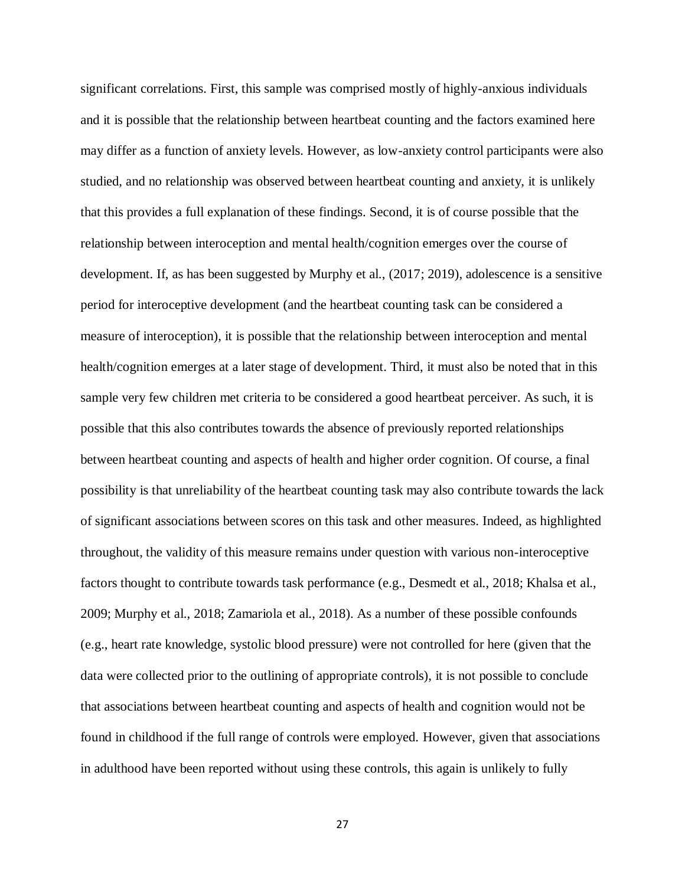significant correlations. First, this sample was comprised mostly of highly-anxious individuals and it is possible that the relationship between heartbeat counting and the factors examined here may differ as a function of anxiety levels. However, as low-anxiety control participants were also studied, and no relationship was observed between heartbeat counting and anxiety, it is unlikely that this provides a full explanation of these findings. Second, it is of course possible that the relationship between interoception and mental health/cognition emerges over the course of development. If, as has been suggested by Murphy et al., (2017; 2019), adolescence is a sensitive period for interoceptive development (and the heartbeat counting task can be considered a measure of interoception), it is possible that the relationship between interoception and mental health/cognition emerges at a later stage of development. Third, it must also be noted that in this sample very few children met criteria to be considered a good heartbeat perceiver. As such, it is possible that this also contributes towards the absence of previously reported relationships between heartbeat counting and aspects of health and higher order cognition. Of course, a final possibility is that unreliability of the heartbeat counting task may also contribute towards the lack of significant associations between scores on this task and other measures. Indeed, as highlighted throughout, the validity of this measure remains under question with various non-interoceptive factors thought to contribute towards task performance (e.g., Desmedt et al., 2018; Khalsa et al., 2009; Murphy et al., 2018; Zamariola et al., 2018). As a number of these possible confounds (e.g., heart rate knowledge, systolic blood pressure) were not controlled for here (given that the data were collected prior to the outlining of appropriate controls), it is not possible to conclude that associations between heartbeat counting and aspects of health and cognition would not be found in childhood if the full range of controls were employed. However, given that associations in adulthood have been reported without using these controls, this again is unlikely to fully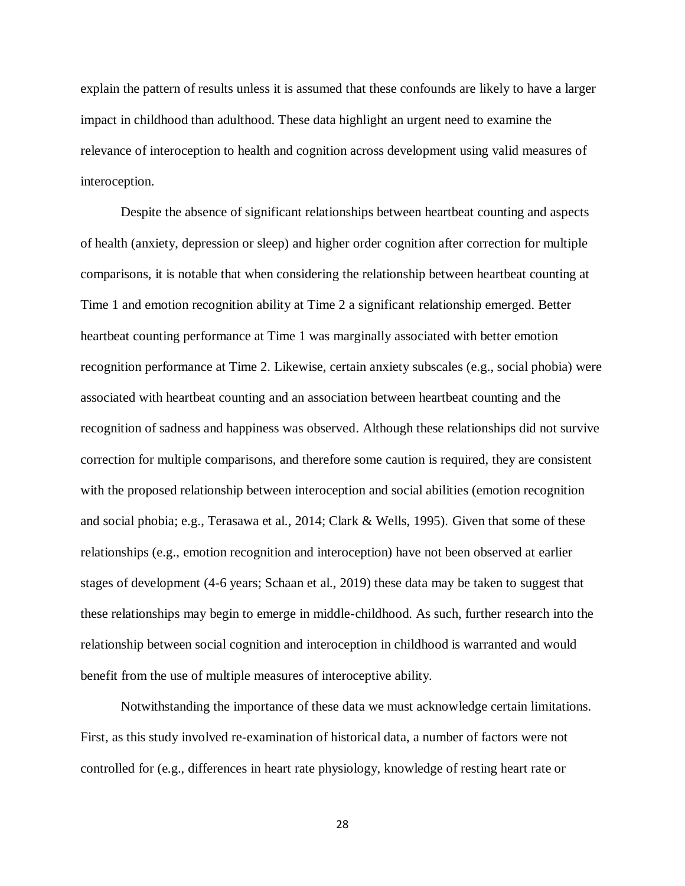explain the pattern of results unless it is assumed that these confounds are likely to have a larger impact in childhood than adulthood. These data highlight an urgent need to examine the relevance of interoception to health and cognition across development using valid measures of interoception.

Despite the absence of significant relationships between heartbeat counting and aspects of health (anxiety, depression or sleep) and higher order cognition after correction for multiple comparisons, it is notable that when considering the relationship between heartbeat counting at Time 1 and emotion recognition ability at Time 2 a significant relationship emerged. Better heartbeat counting performance at Time 1 was marginally associated with better emotion recognition performance at Time 2. Likewise, certain anxiety subscales (e.g., social phobia) were associated with heartbeat counting and an association between heartbeat counting and the recognition of sadness and happiness was observed. Although these relationships did not survive correction for multiple comparisons, and therefore some caution is required, they are consistent with the proposed relationship between interoception and social abilities (emotion recognition and social phobia; e.g., Terasawa et al., 2014; Clark & Wells, 1995). Given that some of these relationships (e.g., emotion recognition and interoception) have not been observed at earlier stages of development (4-6 years; Schaan et al., 2019) these data may be taken to suggest that these relationships may begin to emerge in middle-childhood. As such, further research into the relationship between social cognition and interoception in childhood is warranted and would benefit from the use of multiple measures of interoceptive ability.

Notwithstanding the importance of these data we must acknowledge certain limitations. First, as this study involved re-examination of historical data, a number of factors were not controlled for (e.g., differences in heart rate physiology, knowledge of resting heart rate or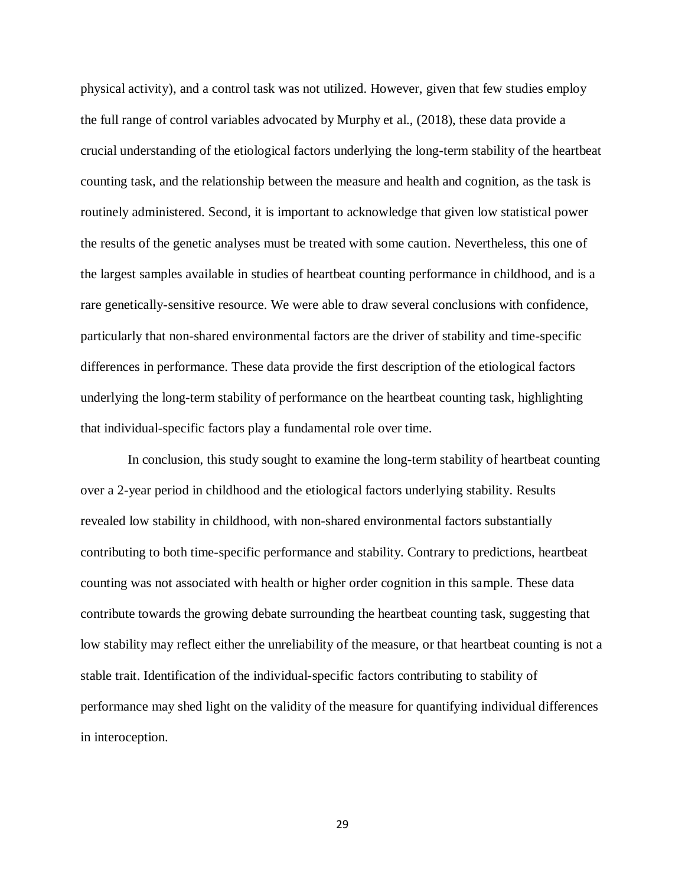physical activity), and a control task was not utilized. However, given that few studies employ the full range of control variables advocated by Murphy et al., (2018), these data provide a crucial understanding of the etiological factors underlying the long-term stability of the heartbeat counting task, and the relationship between the measure and health and cognition, as the task is routinely administered. Second, it is important to acknowledge that given low statistical power the results of the genetic analyses must be treated with some caution. Nevertheless, this one of the largest samples available in studies of heartbeat counting performance in childhood, and is a rare genetically-sensitive resource. We were able to draw several conclusions with confidence, particularly that non-shared environmental factors are the driver of stability and time-specific differences in performance. These data provide the first description of the etiological factors underlying the long-term stability of performance on the heartbeat counting task, highlighting that individual-specific factors play a fundamental role over time.

 In conclusion, this study sought to examine the long-term stability of heartbeat counting over a 2-year period in childhood and the etiological factors underlying stability. Results revealed low stability in childhood, with non-shared environmental factors substantially contributing to both time-specific performance and stability. Contrary to predictions, heartbeat counting was not associated with health or higher order cognition in this sample. These data contribute towards the growing debate surrounding the heartbeat counting task, suggesting that low stability may reflect either the unreliability of the measure, or that heartbeat counting is not a stable trait. Identification of the individual-specific factors contributing to stability of performance may shed light on the validity of the measure for quantifying individual differences in interoception.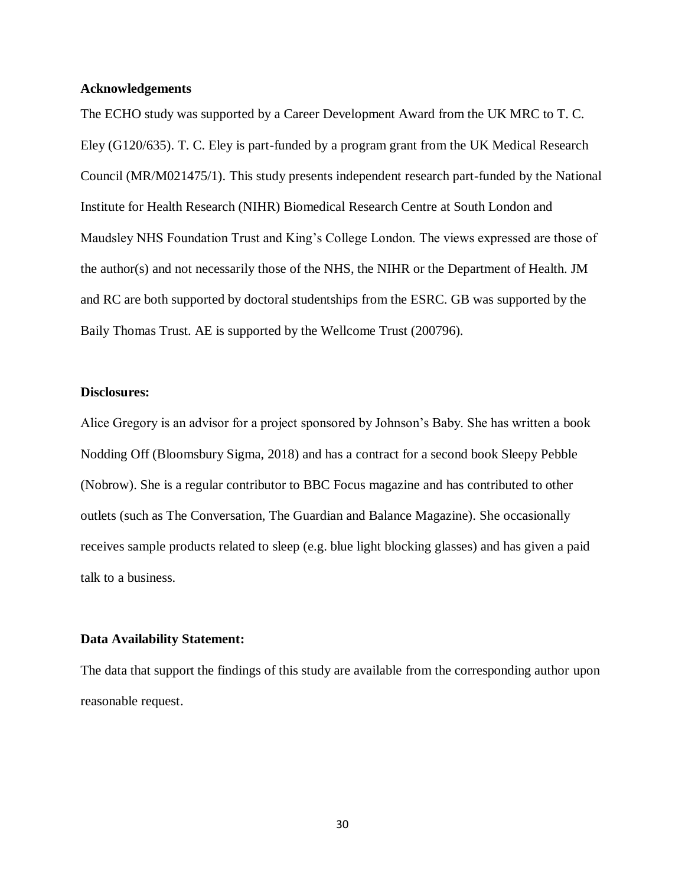#### **Acknowledgements**

The ECHO study was supported by a Career Development Award from the UK MRC to T. C. Eley (G120/635). T. C. Eley is part-funded by a program grant from the UK Medical Research Council (MR/M021475/1). This study presents independent research part-funded by the National Institute for Health Research (NIHR) Biomedical Research Centre at South London and Maudsley NHS Foundation Trust and King's College London. The views expressed are those of the author(s) and not necessarily those of the NHS, the NIHR or the Department of Health. JM and RC are both supported by doctoral studentships from the ESRC. GB was supported by the Baily Thomas Trust. AE is supported by the Wellcome Trust (200796).

#### **Disclosures:**

Alice Gregory is an advisor for a project sponsored by Johnson's Baby. She has written a book Nodding Off (Bloomsbury Sigma, 2018) and has a contract for a second book Sleepy Pebble (Nobrow). She is a regular contributor to BBC Focus magazine and has contributed to other outlets (such as The Conversation, The Guardian and Balance Magazine). She occasionally receives sample products related to sleep (e.g. blue light blocking glasses) and has given a paid talk to a business.

#### **Data Availability Statement:**

The data that support the findings of this study are available from the corresponding author upon reasonable request.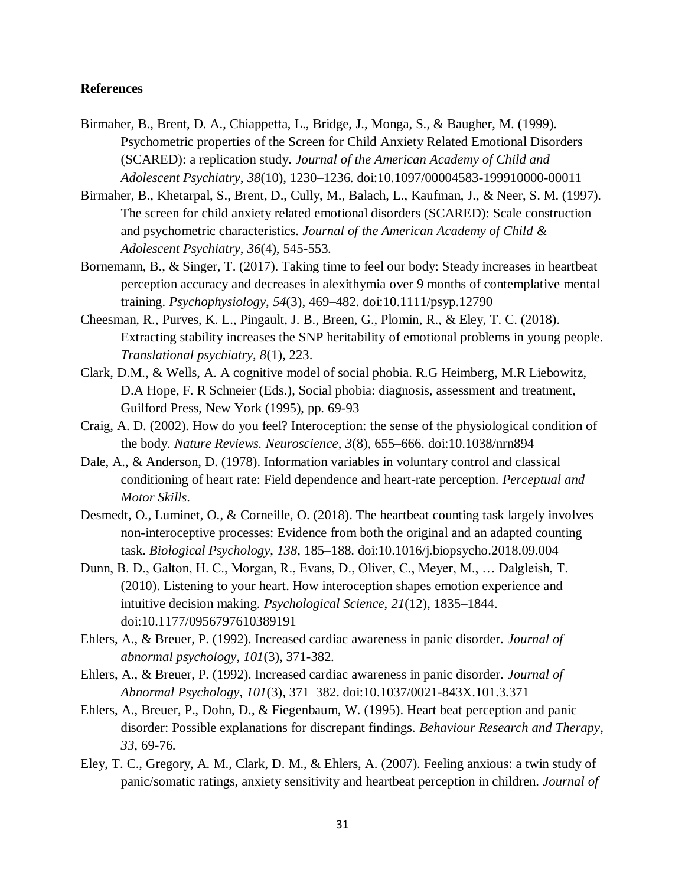#### **References**

- Birmaher, B., Brent, D. A., Chiappetta, L., Bridge, J., Monga, S., & Baugher, M. (1999). Psychometric properties of the Screen for Child Anxiety Related Emotional Disorders (SCARED): a replication study. *Journal of the American Academy of Child and Adolescent Psychiatry*, *38*(10), 1230–1236. doi:10.1097/00004583-199910000-00011
- Birmaher, B., Khetarpal, S., Brent, D., Cully, M., Balach, L., Kaufman, J., & Neer, S. M. (1997). The screen for child anxiety related emotional disorders (SCARED): Scale construction and psychometric characteristics. *Journal of the American Academy of Child & Adolescent Psychiatry*, *36*(4), 545-553.
- Bornemann, B., & Singer, T. (2017). Taking time to feel our body: Steady increases in heartbeat perception accuracy and decreases in alexithymia over 9 months of contemplative mental training. *Psychophysiology*, *54*(3), 469–482. doi:10.1111/psyp.12790
- Cheesman, R., Purves, K. L., Pingault, J. B., Breen, G., Plomin, R., & Eley, T. C. (2018). Extracting stability increases the SNP heritability of emotional problems in young people. *Translational psychiatry, 8*(1), 223.
- Clark, D.M., & Wells, A. A cognitive model of social phobia. R.G Heimberg, M.R Liebowitz, D.A Hope, F. R Schneier (Eds.), Social phobia: diagnosis, assessment and treatment, Guilford Press, New York (1995), pp. 69-93
- Craig, A. D. (2002). How do you feel? Interoception: the sense of the physiological condition of the body. *Nature Reviews. Neuroscience*, *3*(8), 655–666. doi:10.1038/nrn894
- Dale, A., & Anderson, D. (1978). Information variables in voluntary control and classical conditioning of heart rate: Field dependence and heart-rate perception. *Perceptual and Motor Skills*.
- Desmedt, O., Luminet, O., & Corneille, O. (2018). The heartbeat counting task largely involves non-interoceptive processes: Evidence from both the original and an adapted counting task. *Biological Psychology*, *138*, 185–188. doi:10.1016/j.biopsycho.2018.09.004
- Dunn, B. D., Galton, H. C., Morgan, R., Evans, D., Oliver, C., Meyer, M., … Dalgleish, T. (2010). Listening to your heart. How interoception shapes emotion experience and intuitive decision making. *Psychological Science*, *21*(12), 1835–1844. doi:10.1177/0956797610389191
- Ehlers, A., & Breuer, P. (1992). Increased cardiac awareness in panic disorder. *Journal of abnormal psychology*, *101*(3), 371-382.
- Ehlers, A., & Breuer, P. (1992). Increased cardiac awareness in panic disorder. *Journal of Abnormal Psychology*, *101*(3), 371–382. doi:10.1037/0021-843X.101.3.371
- Ehlers, A., Breuer, P., Dohn, D., & Fiegenbaum, W. (1995). Heart beat perception and panic disorder: Possible explanations for discrepant findings. *Behaviour Research and Therapy*, *33*, 69-76.
- Eley, T. C., Gregory, A. M., Clark, D. M., & Ehlers, A. (2007). Feeling anxious: a twin study of panic/somatic ratings, anxiety sensitivity and heartbeat perception in children. *Journal of*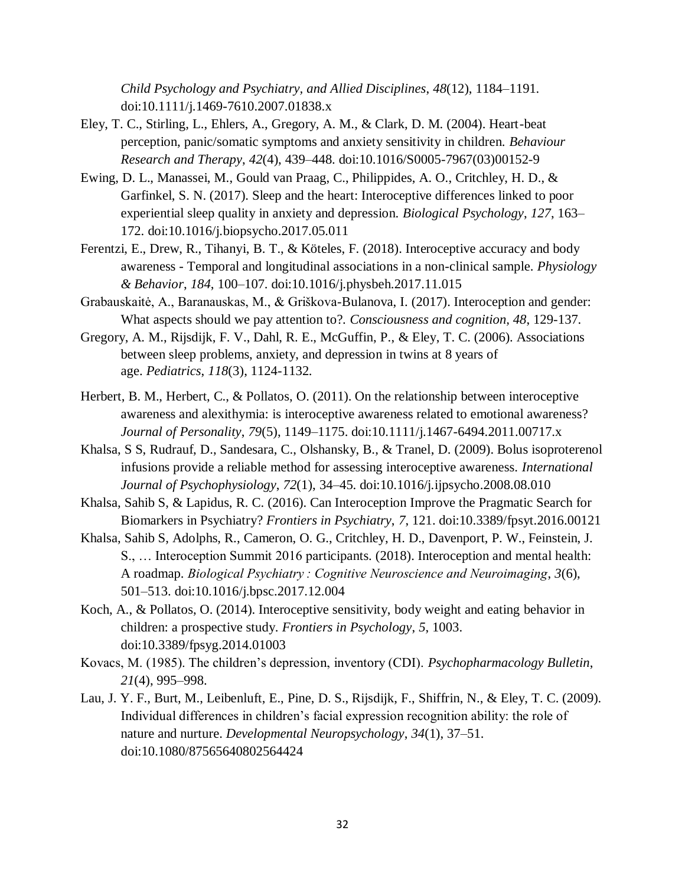*Child Psychology and Psychiatry, and Allied Disciplines*, *48*(12), 1184–1191. doi:10.1111/j.1469-7610.2007.01838.x

- Eley, T. C., Stirling, L., Ehlers, A., Gregory, A. M., & Clark, D. M. (2004). Heart-beat perception, panic/somatic symptoms and anxiety sensitivity in children. *Behaviour Research and Therapy*, *42*(4), 439–448. doi:10.1016/S0005-7967(03)00152-9
- Ewing, D. L., Manassei, M., Gould van Praag, C., Philippides, A. O., Critchley, H. D., & Garfinkel, S. N. (2017). Sleep and the heart: Interoceptive differences linked to poor experiential sleep quality in anxiety and depression. *Biological Psychology*, *127*, 163– 172. doi:10.1016/j.biopsycho.2017.05.011
- Ferentzi, E., Drew, R., Tihanyi, B. T., & Köteles, F. (2018). Interoceptive accuracy and body awareness - Temporal and longitudinal associations in a non-clinical sample. *Physiology & Behavior*, *184*, 100–107. doi:10.1016/j.physbeh.2017.11.015
- Grabauskaitė, A., Baranauskas, M., & Griškova-Bulanova, I. (2017). Interoception and gender: What aspects should we pay attention to?. *Consciousness and cognition, 48*, 129-137.
- Gregory, A. M., Rijsdijk, F. V., Dahl, R. E., McGuffin, P., & Eley, T. C. (2006). Associations between sleep problems, anxiety, and depression in twins at 8 years of age. *Pediatrics*, *118*(3), 1124-1132.
- Herbert, B. M., Herbert, C., & Pollatos, O. (2011). On the relationship between interoceptive awareness and alexithymia: is interoceptive awareness related to emotional awareness? *Journal of Personality*, *79*(5), 1149–1175. doi:10.1111/j.1467-6494.2011.00717.x
- Khalsa, S S, Rudrauf, D., Sandesara, C., Olshansky, B., & Tranel, D. (2009). Bolus isoproterenol infusions provide a reliable method for assessing interoceptive awareness. *International Journal of Psychophysiology*, *72*(1), 34–45. doi:10.1016/j.ijpsycho.2008.08.010
- Khalsa, Sahib S, & Lapidus, R. C. (2016). Can Interoception Improve the Pragmatic Search for Biomarkers in Psychiatry? *Frontiers in Psychiatry*, *7*, 121. doi:10.3389/fpsyt.2016.00121
- Khalsa, Sahib S, Adolphs, R., Cameron, O. G., Critchley, H. D., Davenport, P. W., Feinstein, J. S., … Interoception Summit 2016 participants. (2018). Interoception and mental health: A roadmap. *Biological Psychiatry : Cognitive Neuroscience and Neuroimaging*, *3*(6), 501–513. doi:10.1016/j.bpsc.2017.12.004
- Koch, A., & Pollatos, O. (2014). Interoceptive sensitivity, body weight and eating behavior in children: a prospective study. *Frontiers in Psychology*, *5*, 1003. doi:10.3389/fpsyg.2014.01003
- Kovacs, M. (1985). The children's depression, inventory (CDI). *Psychopharmacology Bulletin*, *21*(4), 995–998.
- Lau, J. Y. F., Burt, M., Leibenluft, E., Pine, D. S., Rijsdijk, F., Shiffrin, N., & Eley, T. C. (2009). Individual differences in children's facial expression recognition ability: the role of nature and nurture. *Developmental Neuropsychology*, *34*(1), 37–51. doi:10.1080/87565640802564424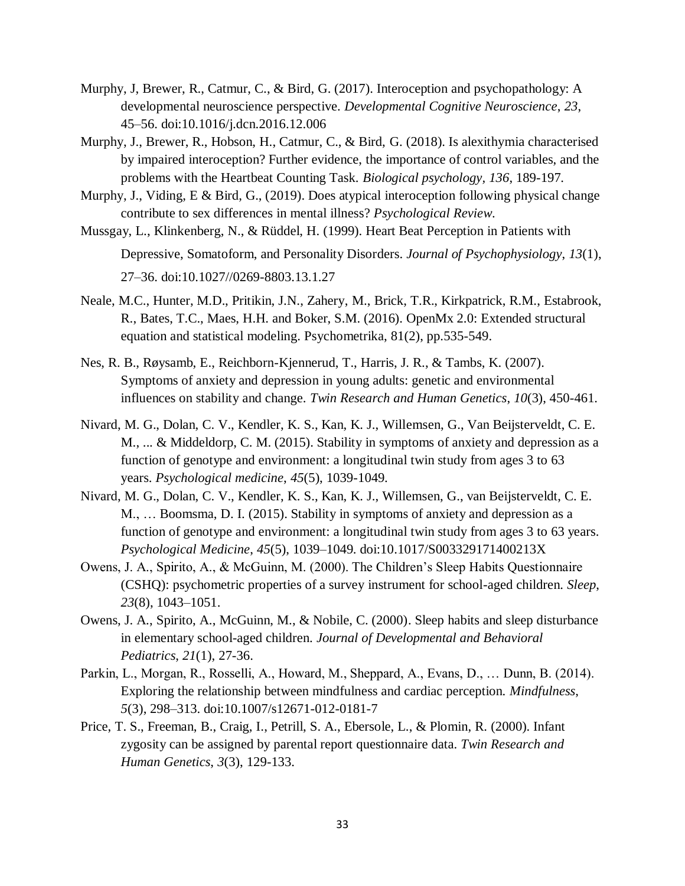- Murphy, J, Brewer, R., Catmur, C., & Bird, G. (2017). Interoception and psychopathology: A developmental neuroscience perspective. *Developmental Cognitive Neuroscience*, *23*, 45–56. doi:10.1016/j.dcn.2016.12.006
- Murphy, J., Brewer, R., Hobson, H., Catmur, C., & Bird, G. (2018). Is alexithymia characterised by impaired interoception? Further evidence, the importance of control variables, and the problems with the Heartbeat Counting Task. *Biological psychology, 136*, 189-197.
- Murphy, J., Viding, E & Bird, G., (2019). Does atypical interoception following physical change contribute to sex differences in mental illness? *Psychological Review*.
- Mussgay, L., Klinkenberg, N., & Rüddel, H. (1999). Heart Beat Perception in Patients with Depressive, Somatoform, and Personality Disorders. *Journal of Psychophysiology*, *13*(1), 27–36. doi:10.1027//0269-8803.13.1.27
- Neale, M.C., Hunter, M.D., Pritikin, J.N., Zahery, M., Brick, T.R., Kirkpatrick, R.M., Estabrook, R., Bates, T.C., Maes, H.H. and Boker, S.M. (2016). OpenMx 2.0: Extended structural equation and statistical modeling. Psychometrika, 81(2), pp.535-549.
- Nes, R. B., Røysamb, E., Reichborn-Kjennerud, T., Harris, J. R., & Tambs, K. (2007). Symptoms of anxiety and depression in young adults: genetic and environmental influences on stability and change. *Twin Research and Human Genetics*, *10*(3), 450-461.
- Nivard, M. G., Dolan, C. V., Kendler, K. S., Kan, K. J., Willemsen, G., Van Beijsterveldt, C. E. M., ... & Middeldorp, C. M. (2015). Stability in symptoms of anxiety and depression as a function of genotype and environment: a longitudinal twin study from ages 3 to 63 years. *Psychological medicine*, *45*(5), 1039-1049.
- Nivard, M. G., Dolan, C. V., Kendler, K. S., Kan, K. J., Willemsen, G., van Beijsterveldt, C. E. M., … Boomsma, D. I. (2015). Stability in symptoms of anxiety and depression as a function of genotype and environment: a longitudinal twin study from ages 3 to 63 years. *Psychological Medicine*, *45*(5), 1039–1049. doi:10.1017/S003329171400213X
- Owens, J. A., Spirito, A., & McGuinn, M. (2000). The Children's Sleep Habits Questionnaire (CSHQ): psychometric properties of a survey instrument for school-aged children. *Sleep*, *23*(8), 1043–1051.
- Owens, J. A., Spirito, A., McGuinn, M., & Nobile, C. (2000). Sleep habits and sleep disturbance in elementary school-aged children. *Journal of Developmental and Behavioral Pediatrics*, *21*(1), 27-36.
- Parkin, L., Morgan, R., Rosselli, A., Howard, M., Sheppard, A., Evans, D., … Dunn, B. (2014). Exploring the relationship between mindfulness and cardiac perception. *Mindfulness*, *5*(3), 298–313. doi:10.1007/s12671-012-0181-7
- Price, T. S., Freeman, B., Craig, I., Petrill, S. A., Ebersole, L., & Plomin, R. (2000). Infant zygosity can be assigned by parental report questionnaire data. *Twin Research and Human Genetics*, *3*(3), 129-133.